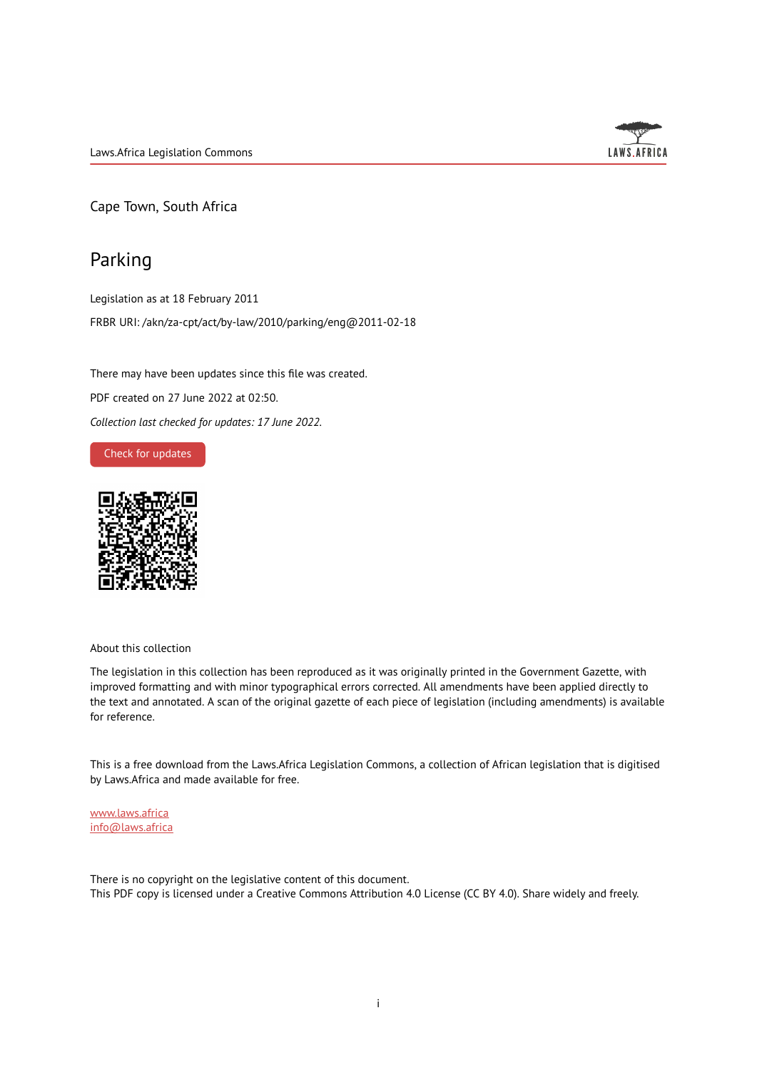

Cape Town, South Africa

# Parking

Legislation as at 18 February 2011 FRBR URI: /akn/za-cpt/act/by-law/2010/parking/eng@2011-02-18

There may have been updates since this file was created. PDF created on 27 June 2022 at 02:50. *Collection last checked for updates: 17 June 2022*.

### Check for [updates](https://commons.laws.africa/akn/za-cpt/act/by-law/2010/parking/eng@2011-02-18?ts=2022-06-27T02:50:49.047218+00:00)



About this collection

The legislation in this collection has been reproduced as it was originally printed in the Government Gazette, with improved formatting and with minor typographical errors corrected. All amendments have been applied directly to the text and annotated. A scan of the original gazette of each piece of legislation (including amendments) is available for reference.

This is a free download from the Laws.Africa Legislation Commons, a collection of African legislation that is digitised by Laws.Africa and made available for free.

[www.laws.africa](https://www.laws.africa) [info@laws.africa](mailto:info@laws.africa)

There is no copyright on the legislative content of this document. This PDF copy is licensed under a Creative Commons Attribution 4.0 License (CC BY 4.0). Share widely and freely.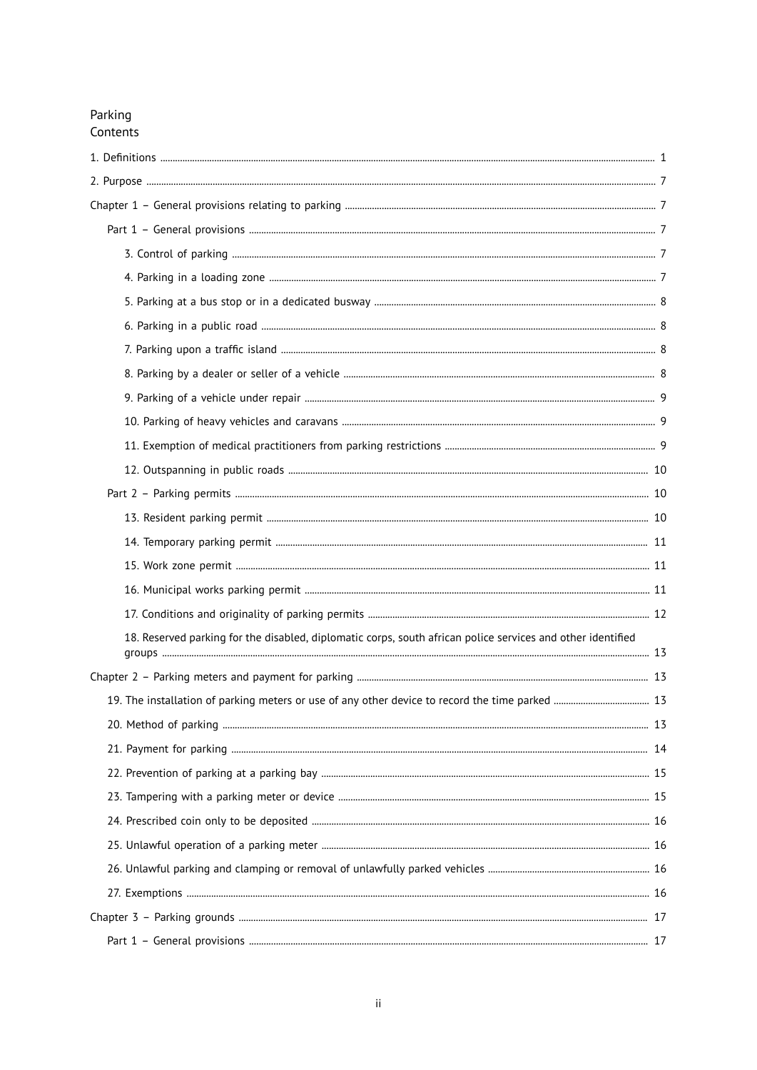# Parking Contents

| 18. Reserved parking for the disabled, diplomatic corps, south african police services and other identified |  |
|-------------------------------------------------------------------------------------------------------------|--|
|                                                                                                             |  |
|                                                                                                             |  |
|                                                                                                             |  |
|                                                                                                             |  |
|                                                                                                             |  |
|                                                                                                             |  |
|                                                                                                             |  |
|                                                                                                             |  |
|                                                                                                             |  |
|                                                                                                             |  |
|                                                                                                             |  |
|                                                                                                             |  |
|                                                                                                             |  |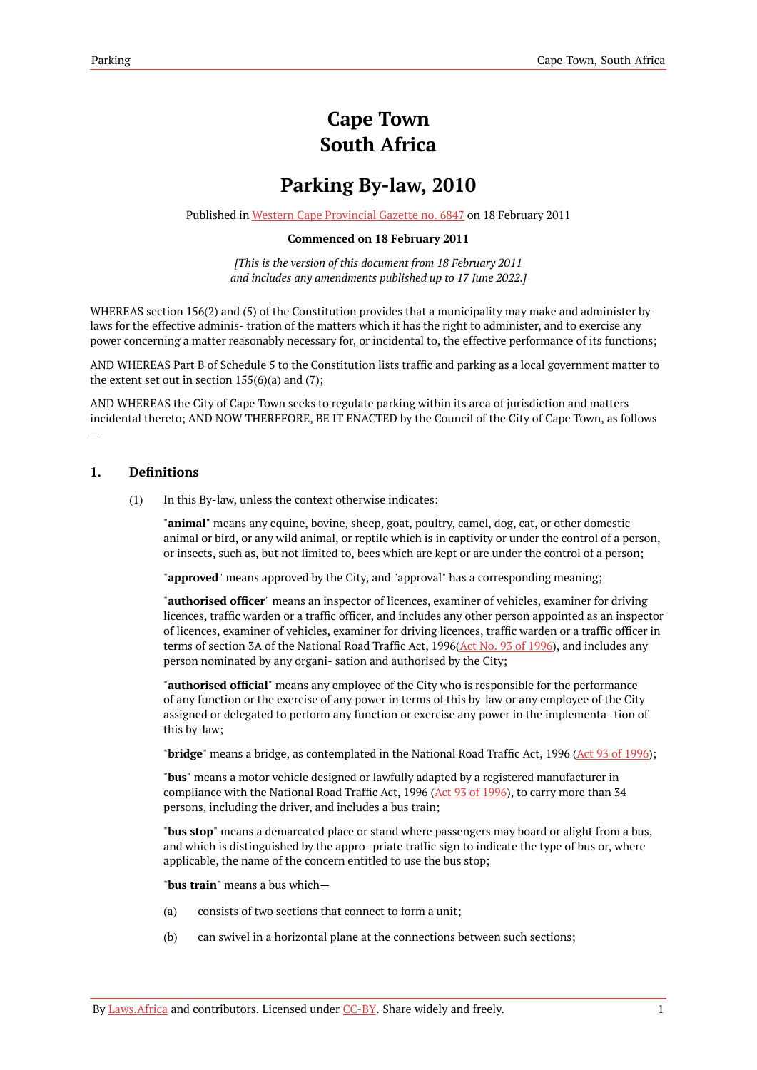# **Cape Town South Africa**

# **Parking By-law, 2010**

Published in Western Cape [Provincial](https://commons.laws.africa/akn/za-cpt/act/by-law/2010/parking/media/publication/za-cpt-act-by-law-2010-parking-publication-document.pdf) Gazette no. 6847 on 18 February 2011

### **Commenced on 18 February 2011**

*[This is the version of this document from 18 February 2011 and includes any amendments published up to 17 June 2022.]*

WHEREAS section 156(2) and (5) of the Constitution provides that a municipality may make and administer bylaws for the effective adminis- tration of the matters which it has the right to administer, and to exercise any power concerning a matter reasonably necessary for, or incidental to, the effective performance of its functions;

AND WHEREAS Part B of Schedule 5 to the Constitution lists traffic and parking as a local government matter to the extent set out in section  $155(6)(a)$  and  $(7)$ ;

AND WHEREAS the City of Cape Town seeks to regulate parking within its area of jurisdiction and matters incidental thereto; AND NOW THEREFORE, BE IT ENACTED by the Council of the City of Cape Town, as follows

### <span id="page-4-0"></span>**1. Definitions**

—

(1) In this By-law, unless the context otherwise indicates:

"**animal**" means any equine, bovine, sheep, goat, poultry, camel, dog, cat, or other domestic animal or bird, or any wild animal, or reptile which is in captivity or under the control of a person, or insects, such as, but not limited to, bees which are kept or are under the control of a person;

"**approved**" means approved by the City, and "approval" has a corresponding meaning;

"**authorised officer**" means an inspector of licences, examiner of vehicles, examiner for driving licences, traffic warden or a traffic officer, and includes any other person appointed as an inspector of licences, examiner of vehicles, examiner for driving licences, traffic warden or a traffic officer in terms of section 3A of the National Road Traffic Act, 1996(Act No. 93 of [1996\)](https://resolver.laws.africa/resolve/akn/za/act/1996/93), and includes any person nominated by any organi- sation and authorised by the City;

"**authorised official**" means any employee of the City who is responsible for the performance of any function or the exercise of any power in terms of this by-law or any employee of the City assigned or delegated to perform any function or exercise any power in the implementa- tion of this by-law;

"**bridge**" means a bridge, as contemplated in the National Road Traffic Act, 1996 (Act 93 of [1996](https://resolver.laws.africa/resolve/akn/za/act/1996/93));

"**bus**" means a motor vehicle designed or lawfully adapted by a registered manufacturer in compliance with the National Road Traffic Act, 1996 ( $\Delta$ ct 93 of [1996\)](https://resolver.laws.africa/resolve/akn/za/act/1996/93), to carry more than 34 persons, including the driver, and includes a bus train;

"**bus stop**" means a demarcated place or stand where passengers may board or alight from a bus, and which is distinguished by the appro- priate traffic sign to indicate the type of bus or, where applicable, the name of the concern entitled to use the bus stop;

"**bus train**" means a bus which—

- (a) consists of two sections that connect to form a unit;
- (b) can swivel in a horizontal plane at the connections between such sections;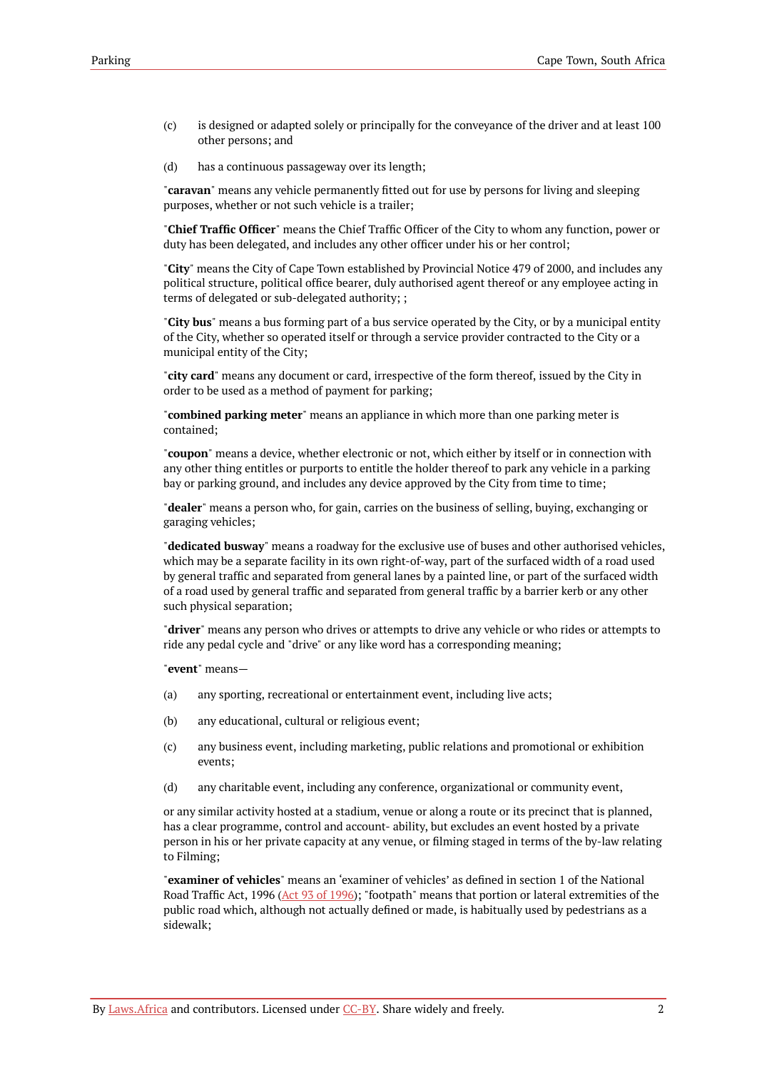- (c) is designed or adapted solely or principally for the conveyance of the driver and at least 100 other persons; and
- (d) has a continuous passageway over its length;

"**caravan**" means any vehicle permanently fitted out for use by persons for living and sleeping purposes, whether or not such vehicle is a trailer;

"**Chief Traffic Officer**" means the Chief Traffic Officer of the City to whom any function, power or duty has been delegated, and includes any other officer under his or her control;

"**City**" means the City of Cape Town established by Provincial Notice 479 of 2000, and includes any political structure, political office bearer, duly authorised agent thereof or any employee acting in terms of delegated or sub-delegated authority; ;

"**City bus**" means a bus forming part of a bus service operated by the City, or by a municipal entity of the City, whether so operated itself or through a service provider contracted to the City or a municipal entity of the City;

"**city card**" means any document or card, irrespective of the form thereof, issued by the City in order to be used as a method of payment for parking;

"**combined parking meter**" means an appliance in which more than one parking meter is contained;

"**coupon**" means a device, whether electronic or not, which either by itself or in connection with any other thing entitles or purports to entitle the holder thereof to park any vehicle in a parking bay or parking ground, and includes any device approved by the City from time to time;

"**dealer**" means a person who, for gain, carries on the business of selling, buying, exchanging or garaging vehicles;

"**dedicated busway**" means a roadway for the exclusive use of buses and other authorised vehicles, which may be a separate facility in its own right-of-way, part of the surfaced width of a road used by general traffic and separated from general lanes by a painted line, or part of the surfaced width of a road used by general traffic and separated from general traffic by a barrier kerb or any other such physical separation;

"**driver**" means any person who drives or attempts to drive any vehicle or who rides or attempts to ride any pedal cycle and "drive" or any like word has a corresponding meaning;

"**event**" means—

- (a) any sporting, recreational or entertainment event, including live acts;
- (b) any educational, cultural or religious event;
- (c) any business event, including marketing, public relations and promotional or exhibition events;
- (d) any charitable event, including any conference, organizational or community event,

or any similar activity hosted at a stadium, venue or along a route or its precinct that is planned, has a clear programme, control and account- ability, but excludes an event hosted by a private person in his or her private capacity at any venue, or filming staged in terms of the by-law relating to Filming;

"**examiner of vehicles**" means an 'examiner of vehicles' as defined in section 1 of the National Road Traffic Act, 1996 (Act 93 of [1996](https://resolver.laws.africa/resolve/akn/za/act/1996/93)); "footpath" means that portion or lateral extremities of the public road which, although not actually defined or made, is habitually used by pedestrians as a sidewalk;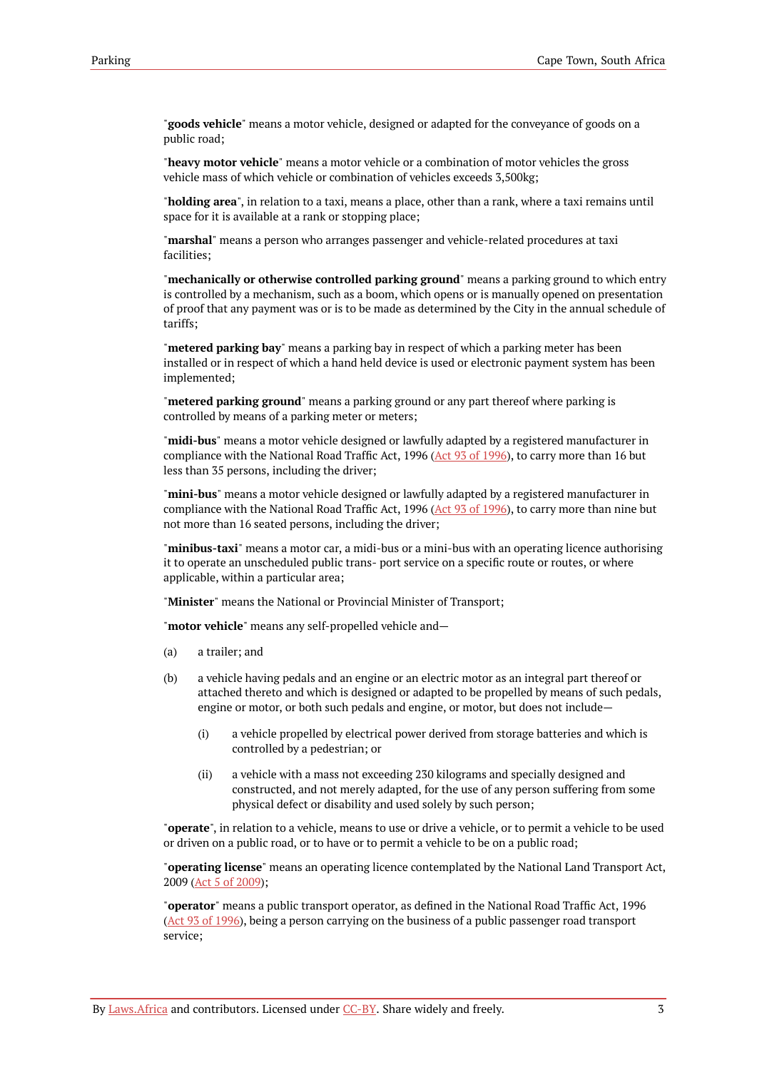"**goods vehicle**" means a motor vehicle, designed or adapted for the conveyance of goods on a public road;

"**heavy motor vehicle**" means a motor vehicle or a combination of motor vehicles the gross vehicle mass of which vehicle or combination of vehicles exceeds 3,500kg;

"**holding area**", in relation to a taxi, means a place, other than a rank, where a taxi remains until space for it is available at a rank or stopping place;

"**marshal**" means a person who arranges passenger and vehicle-related procedures at taxi facilities;

"**mechanically or otherwise controlled parking ground**" means a parking ground to which entry is controlled by a mechanism, such as a boom, which opens or is manually opened on presentation of proof that any payment was or is to be made as determined by the City in the annual schedule of tariffs;

"**metered parking bay**" means a parking bay in respect of which a parking meter has been installed or in respect of which a hand held device is used or electronic payment system has been implemented;

"**metered parking ground**" means a parking ground or any part thereof where parking is controlled by means of a parking meter or meters;

"**midi-bus**" means a motor vehicle designed or lawfully adapted by a registered manufacturer in compliance with the National Road Traffic Act, 1996 (Act 93 of [1996\)](https://resolver.laws.africa/resolve/akn/za/act/1996/93), to carry more than 16 but less than 35 persons, including the driver;

"**mini-bus**" means a motor vehicle designed or lawfully adapted by a registered manufacturer in compliance with the National Road Traffic Act, 1996 (Act 93 of [1996\)](https://resolver.laws.africa/resolve/akn/za/act/1996/93), to carry more than nine but not more than 16 seated persons, including the driver;

"**minibus-taxi**" means a motor car, a midi-bus or a mini-bus with an operating licence authorising it to operate an unscheduled public trans- port service on a specific route or routes, or where applicable, within a particular area;

"**Minister**" means the National or Provincial Minister of Transport;

"**motor vehicle**" means any self-propelled vehicle and—

- (a) a trailer; and
- (b) a vehicle having pedals and an engine or an electric motor as an integral part thereof or attached thereto and which is designed or adapted to be propelled by means of such pedals, engine or motor, or both such pedals and engine, or motor, but does not include—
	- (i) a vehicle propelled by electrical power derived from storage batteries and which is controlled by a pedestrian; or
	- (ii) a vehicle with a mass not exceeding 230 kilograms and specially designed and constructed, and not merely adapted, for the use of any person suffering from some physical defect or disability and used solely by such person;

"**operate**", in relation to a vehicle, means to use or drive a vehicle, or to permit a vehicle to be used or driven on a public road, or to have or to permit a vehicle to be on a public road;

"**operating license**" means an operating licence contemplated by the National Land Transport Act, 2009 (Act 5 of [2009](https://resolver.laws.africa/resolve/akn/za/act/2009/5));

"**operator**" means a public transport operator, as defined in the National Road Traffic Act, 1996 (Act 93 of [1996](https://resolver.laws.africa/resolve/akn/za/act/1996/93)), being a person carrying on the business of a public passenger road transport service;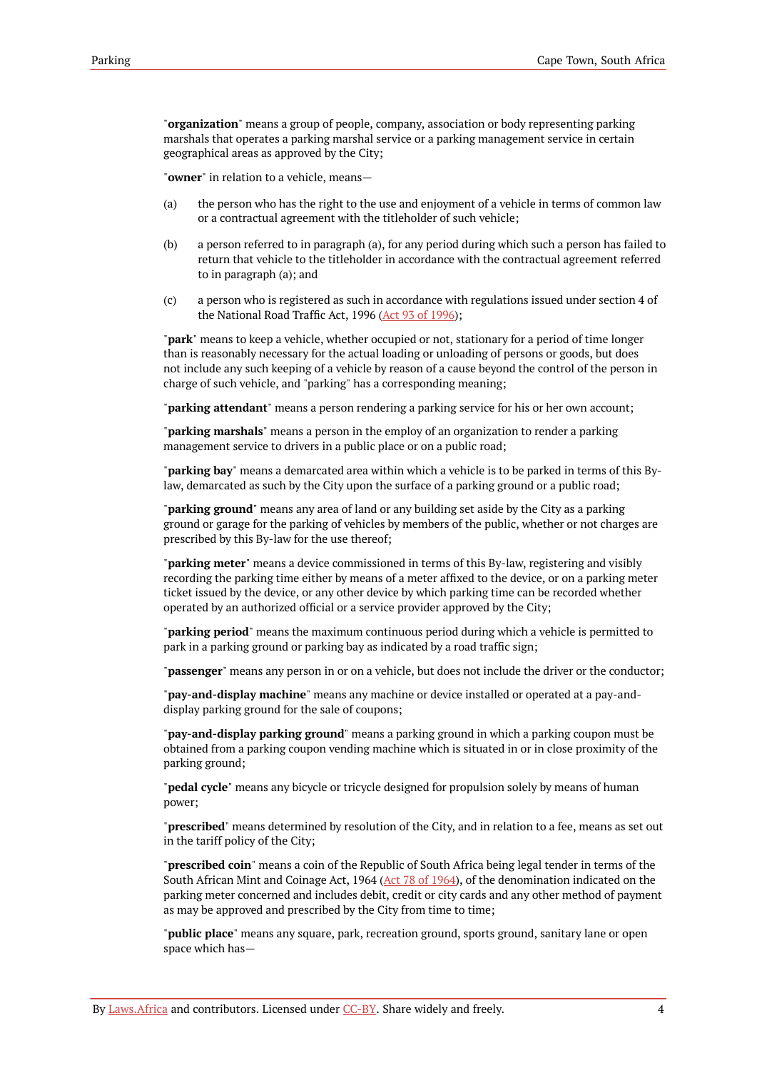"**organization**" means a group of people, company, association or body representing parking marshals that operates a parking marshal service or a parking management service in certain geographical areas as approved by the City;

"**owner**" in relation to a vehicle, means—

- (a) the person who has the right to the use and enjoyment of a vehicle in terms of common law or a contractual agreement with the titleholder of such vehicle;
- (b) a person referred to in paragraph (a), for any period during which such a person has failed to return that vehicle to the titleholder in accordance with the contractual agreement referred to in paragraph (a); and
- (c) a person who is registered as such in accordance with regulations issued under section 4 of the National Road Traffic Act, 1996 (Act 93 of [1996\)](https://resolver.laws.africa/resolve/akn/za/act/1996/93);

"**park**" means to keep a vehicle, whether occupied or not, stationary for a period of time longer than is reasonably necessary for the actual loading or unloading of persons or goods, but does not include any such keeping of a vehicle by reason of a cause beyond the control of the person in charge of such vehicle, and "parking" has a corresponding meaning;

"**parking attendant**" means a person rendering a parking service for his or her own account;

"**parking marshals**" means a person in the employ of an organization to render a parking management service to drivers in a public place or on a public road;

"**parking bay**" means a demarcated area within which a vehicle is to be parked in terms of this Bylaw, demarcated as such by the City upon the surface of a parking ground or a public road;

"**parking ground**" means any area of land or any building set aside by the City as a parking ground or garage for the parking of vehicles by members of the public, whether or not charges are prescribed by this By-law for the use thereof;

"**parking meter**" means a device commissioned in terms of this By-law, registering and visibly recording the parking time either by means of a meter affixed to the device, or on a parking meter ticket issued by the device, or any other device by which parking time can be recorded whether operated by an authorized official or a service provider approved by the City;

"**parking period**" means the maximum continuous period during which a vehicle is permitted to park in a parking ground or parking bay as indicated by a road traffic sign;

"**passenger**" means any person in or on a vehicle, but does not include the driver or the conductor;

"**pay-and-display machine**" means any machine or device installed or operated at a pay-anddisplay parking ground for the sale of coupons;

"**pay-and-display parking ground**" means a parking ground in which a parking coupon must be obtained from a parking coupon vending machine which is situated in or in close proximity of the parking ground;

"**pedal cycle**" means any bicycle or tricycle designed for propulsion solely by means of human power;

"**prescribed**" means determined by resolution of the City, and in relation to a fee, means as set out in the tariff policy of the City;

"**prescribed coin**" means a coin of the Republic of South Africa being legal tender in terms of the South African Mint and Coinage Act, 1964 (Act 78 of [1964](https://resolver.laws.africa/resolve/akn/za/act/1964/78)), of the denomination indicated on the parking meter concerned and includes debit, credit or city cards and any other method of payment as may be approved and prescribed by the City from time to time;

"**public place**" means any square, park, recreation ground, sports ground, sanitary lane or open space which has—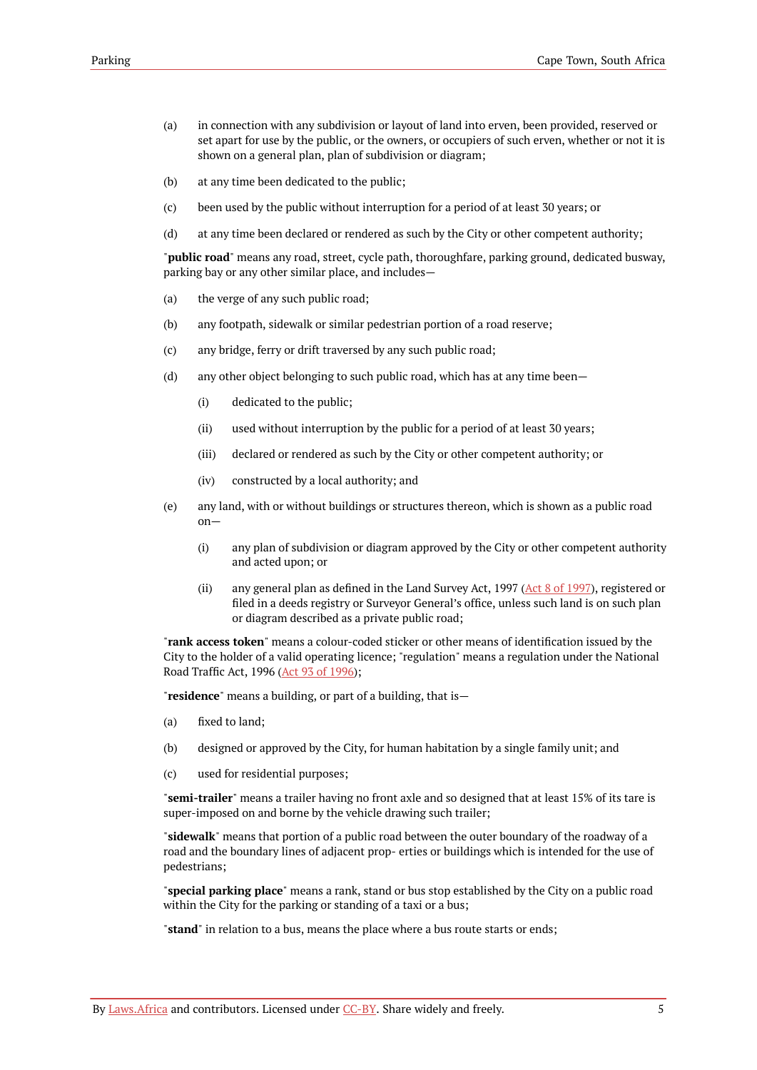- (a) in connection with any subdivision or layout of land into erven, been provided, reserved or set apart for use by the public, or the owners, or occupiers of such erven, whether or not it is shown on a general plan, plan of subdivision or diagram;
- (b) at any time been dedicated to the public;
- (c) been used by the public without interruption for a period of at least 30 years; or
- (d) at any time been declared or rendered as such by the City or other competent authority;

"**public road**" means any road, street, cycle path, thoroughfare, parking ground, dedicated busway, parking bay or any other similar place, and includes—

- (a) the verge of any such public road;
- (b) any footpath, sidewalk or similar pedestrian portion of a road reserve;
- (c) any bridge, ferry or drift traversed by any such public road;
- (d) any other object belonging to such public road, which has at any time been—
	- (i) dedicated to the public;
	- (ii) used without interruption by the public for a period of at least 30 years;
	- (iii) declared or rendered as such by the City or other competent authority; or
	- (iv) constructed by a local authority; and
- (e) any land, with or without buildings or structures thereon, which is shown as a public road on—
	- (i) any plan of subdivision or diagram approved by the City or other competent authority and acted upon; or
	- (ii) any general plan as defined in the Land Survey Act, 1997 (Act 8 of [1997\)](https://resolver.laws.africa/resolve/akn/za/act/1997/8), registered or filed in a deeds registry or Surveyor General's office, unless such land is on such plan or diagram described as a private public road;

"**rank access token**" means a colour-coded sticker or other means of identification issued by the City to the holder of a valid operating licence; "regulation" means a regulation under the National Road Traffic Act, 1996 (Act 93 of [1996](https://resolver.laws.africa/resolve/akn/za/act/1996/93));

"**residence**" means a building, or part of a building, that is—

- (a) fixed to land;
- (b) designed or approved by the City, for human habitation by a single family unit; and
- (c) used for residential purposes;

"**semi-trailer**" means a trailer having no front axle and so designed that at least 15% of its tare is super-imposed on and borne by the vehicle drawing such trailer;

"**sidewalk**" means that portion of a public road between the outer boundary of the roadway of a road and the boundary lines of adjacent prop- erties or buildings which is intended for the use of pedestrians;

"**special parking place**" means a rank, stand or bus stop established by the City on a public road within the City for the parking or standing of a taxi or a bus;

"**stand**" in relation to a bus, means the place where a bus route starts or ends;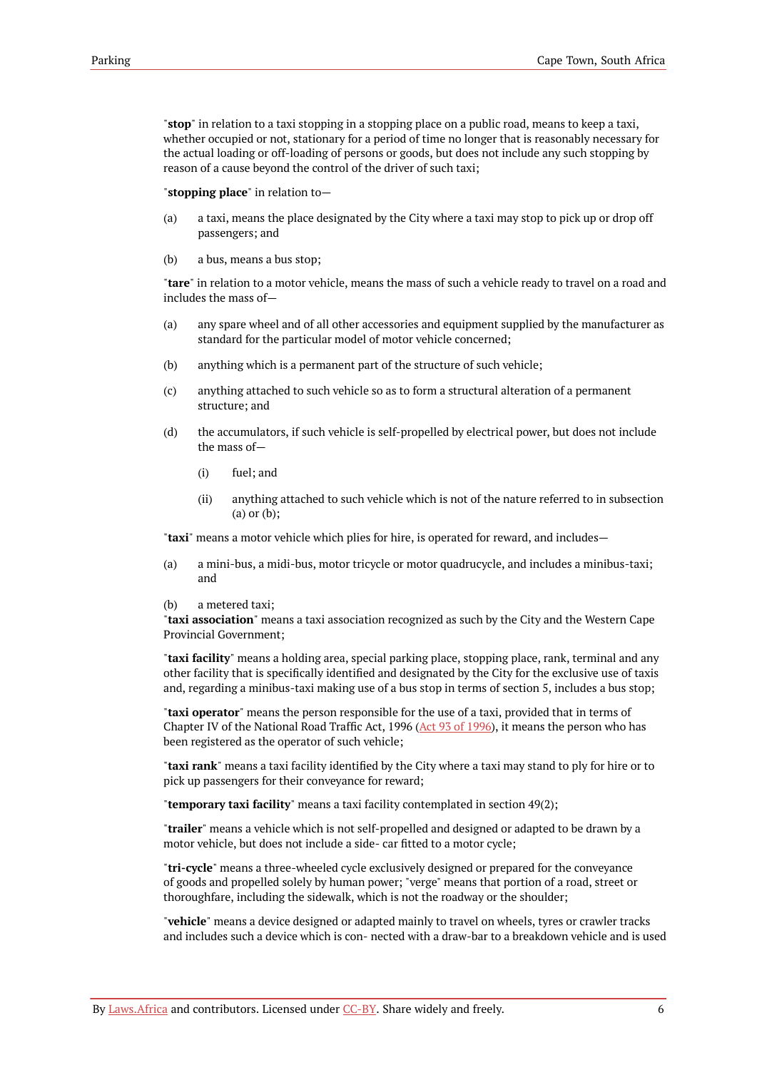"**stop**" in relation to a taxi stopping in a stopping place on a public road, means to keep a taxi, whether occupied or not, stationary for a period of time no longer that is reasonably necessary for the actual loading or off-loading of persons or goods, but does not include any such stopping by reason of a cause beyond the control of the driver of such taxi;

"**stopping place**" in relation to—

- (a) a taxi, means the place designated by the City where a taxi may stop to pick up or drop off passengers; and
- (b) a bus, means a bus stop;

"**tare**" in relation to a motor vehicle, means the mass of such a vehicle ready to travel on a road and includes the mass of—

- (a) any spare wheel and of all other accessories and equipment supplied by the manufacturer as standard for the particular model of motor vehicle concerned;
- (b) anything which is a permanent part of the structure of such vehicle;
- (c) anything attached to such vehicle so as to form a structural alteration of a permanent structure; and
- (d) the accumulators, if such vehicle is self-propelled by electrical power, but does not include the mass of—
	- (i) fuel; and
	- (ii) anything attached to such vehicle which is not of the nature referred to in subsection (a) or (b);

"**taxi**" means a motor vehicle which plies for hire, is operated for reward, and includes—

- (a) a mini-bus, a midi-bus, motor tricycle or motor quadrucycle, and includes a minibus-taxi; and
- (b) a metered taxi;

"**taxi association**" means a taxi association recognized as such by the City and the Western Cape Provincial Government;

"**taxi facility**" means a holding area, special parking place, stopping place, rank, terminal and any other facility that is specifically identified and designated by the City for the exclusive use of taxis and, regarding a minibus-taxi making use of a bus stop in terms of section 5, includes a bus stop;

"**taxi operator**" means the person responsible for the use of a taxi, provided that in terms of Chapter IV of the National Road Traffic Act, 1996 (Act 93 of [1996\)](https://resolver.laws.africa/resolve/akn/za/act/1996/93), it means the person who has been registered as the operator of such vehicle;

"**taxi rank**" means a taxi facility identified by the City where a taxi may stand to ply for hire or to pick up passengers for their conveyance for reward;

"**temporary taxi facility**" means a taxi facility contemplated in section 49(2);

"**trailer**" means a vehicle which is not self-propelled and designed or adapted to be drawn by a motor vehicle, but does not include a side- car fitted to a motor cycle;

"**tri-cycle**" means a three-wheeled cycle exclusively designed or prepared for the conveyance of goods and propelled solely by human power; "verge" means that portion of a road, street or thoroughfare, including the sidewalk, which is not the roadway or the shoulder;

"**vehicle**" means a device designed or adapted mainly to travel on wheels, tyres or crawler tracks and includes such a device which is con- nected with a draw-bar to a breakdown vehicle and is used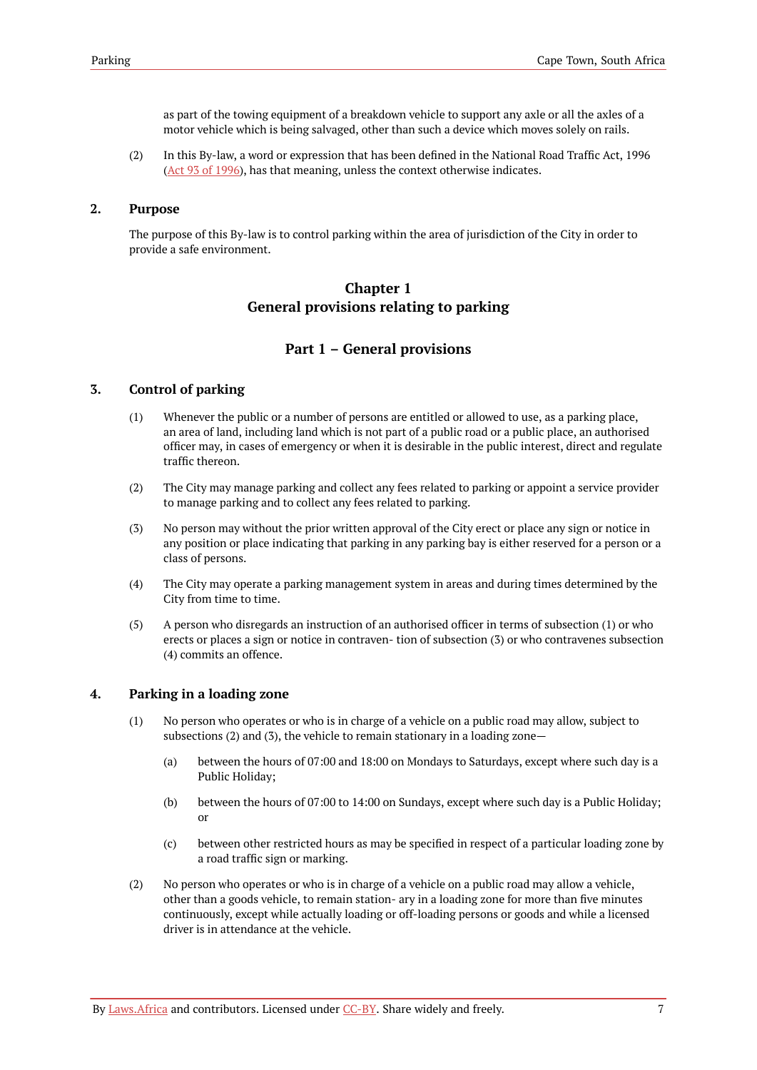as part of the towing equipment of a breakdown vehicle to support any axle or all the axles of a motor vehicle which is being salvaged, other than such a device which moves solely on rails.

(2) In this By-law, a word or expression that has been defined in the National Road Traffic Act, 1996 (Act 93 of [1996](https://resolver.laws.africa/resolve/akn/za/act/1996/93)), has that meaning, unless the context otherwise indicates.

### <span id="page-10-0"></span>**2. Purpose**

<span id="page-10-1"></span>The purpose of this By-law is to control parking within the area of jurisdiction of the City in order to provide a safe environment.

# **Chapter 1 General provisions relating to parking**

# **Part 1 – General provisions**

### <span id="page-10-3"></span><span id="page-10-2"></span>**3. Control of parking**

- (1) Whenever the public or a number of persons are entitled or allowed to use, as a parking place, an area of land, including land which is not part of a public road or a public place, an authorised officer may, in cases of emergency or when it is desirable in the public interest, direct and regulate traffic thereon.
- (2) The City may manage parking and collect any fees related to parking or appoint a service provider to manage parking and to collect any fees related to parking.
- (3) No person may without the prior written approval of the City erect or place any sign or notice in any position or place indicating that parking in any parking bay is either reserved for a person or a class of persons.
- (4) The City may operate a parking management system in areas and during times determined by the City from time to time.
- (5) A person who disregards an instruction of an authorised officer in terms of subsection (1) or who erects or places a sign or notice in contraven- tion of subsection (3) or who contravenes subsection (4) commits an offence.

### <span id="page-10-4"></span>**4. Parking in a loading zone**

- (1) No person who operates or who is in charge of a vehicle on a public road may allow, subject to subsections (2) and (3), the vehicle to remain stationary in a loading zone—
	- (a) between the hours of 07:00 and 18:00 on Mondays to Saturdays, except where such day is a Public Holiday;
	- (b) between the hours of 07:00 to 14:00 on Sundays, except where such day is a Public Holiday; or
	- (c) between other restricted hours as may be specified in respect of a particular loading zone by a road traffic sign or marking.
- (2) No person who operates or who is in charge of a vehicle on a public road may allow a vehicle, other than a goods vehicle, to remain station- ary in a loading zone for more than five minutes continuously, except while actually loading or off-loading persons or goods and while a licensed driver is in attendance at the vehicle.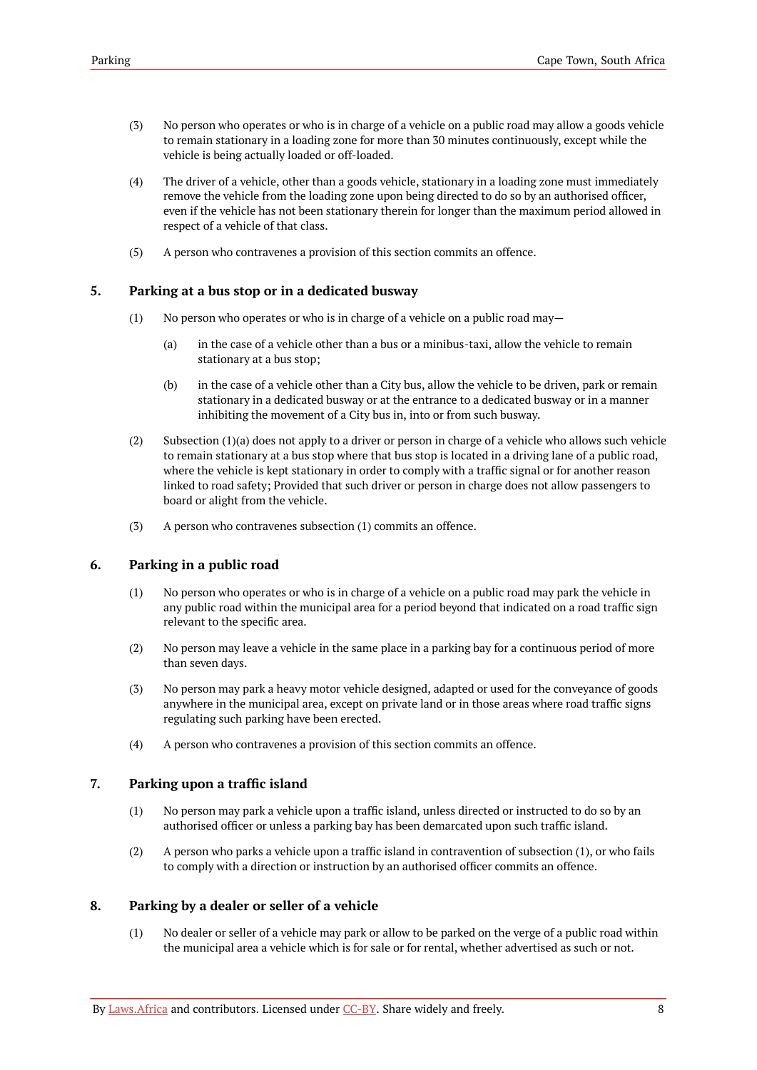- (3) No person who operates or who is in charge of a vehicle on a public road may allow a goods vehicle to remain stationary in a loading zone for more than 30 minutes continuously, except while the vehicle is being actually loaded or off-loaded.
- (4) The driver of a vehicle, other than a goods vehicle, stationary in a loading zone must immediately remove the vehicle from the loading zone upon being directed to do so by an authorised officer, even if the vehicle has not been stationary therein for longer than the maximum period allowed in respect of a vehicle of that class.
- (5) A person who contravenes a provision of this section commits an offence.

### <span id="page-11-0"></span>**5. Parking at a bus stop or in a dedicated busway**

- (1) No person who operates or who is in charge of a vehicle on a public road may—
	- (a) in the case of a vehicle other than a bus or a minibus-taxi, allow the vehicle to remain stationary at a bus stop;
	- (b) in the case of a vehicle other than a City bus, allow the vehicle to be driven, park or remain stationary in a dedicated busway or at the entrance to a dedicated busway or in a manner inhibiting the movement of a City bus in, into or from such busway.
- (2) Subsection (1)(a) does not apply to a driver or person in charge of a vehicle who allows such vehicle to remain stationary at a bus stop where that bus stop is located in a driving lane of a public road, where the vehicle is kept stationary in order to comply with a traffic signal or for another reason linked to road safety; Provided that such driver or person in charge does not allow passengers to board or alight from the vehicle.
- (3) A person who contravenes subsection (1) commits an offence.

# <span id="page-11-1"></span>**6. Parking in a public road**

- (1) No person who operates or who is in charge of a vehicle on a public road may park the vehicle in any public road within the municipal area for a period beyond that indicated on a road traffic sign relevant to the specific area.
- (2) No person may leave a vehicle in the same place in a parking bay for a continuous period of more than seven days.
- (3) No person may park a heavy motor vehicle designed, adapted or used for the conveyance of goods anywhere in the municipal area, except on private land or in those areas where road traffic signs regulating such parking have been erected.
- (4) A person who contravenes a provision of this section commits an offence.

### <span id="page-11-2"></span>**7. Parking upon a traffic island**

- (1) No person may park a vehicle upon a traffic island, unless directed or instructed to do so by an authorised officer or unless a parking bay has been demarcated upon such traffic island.
- (2) A person who parks a vehicle upon a traffic island in contravention of subsection (1), or who fails to comply with a direction or instruction by an authorised officer commits an offence.

### <span id="page-11-3"></span>**8. Parking by a dealer or seller of a vehicle**

(1) No dealer or seller of a vehicle may park or allow to be parked on the verge of a public road within the municipal area a vehicle which is for sale or for rental, whether advertised as such or not.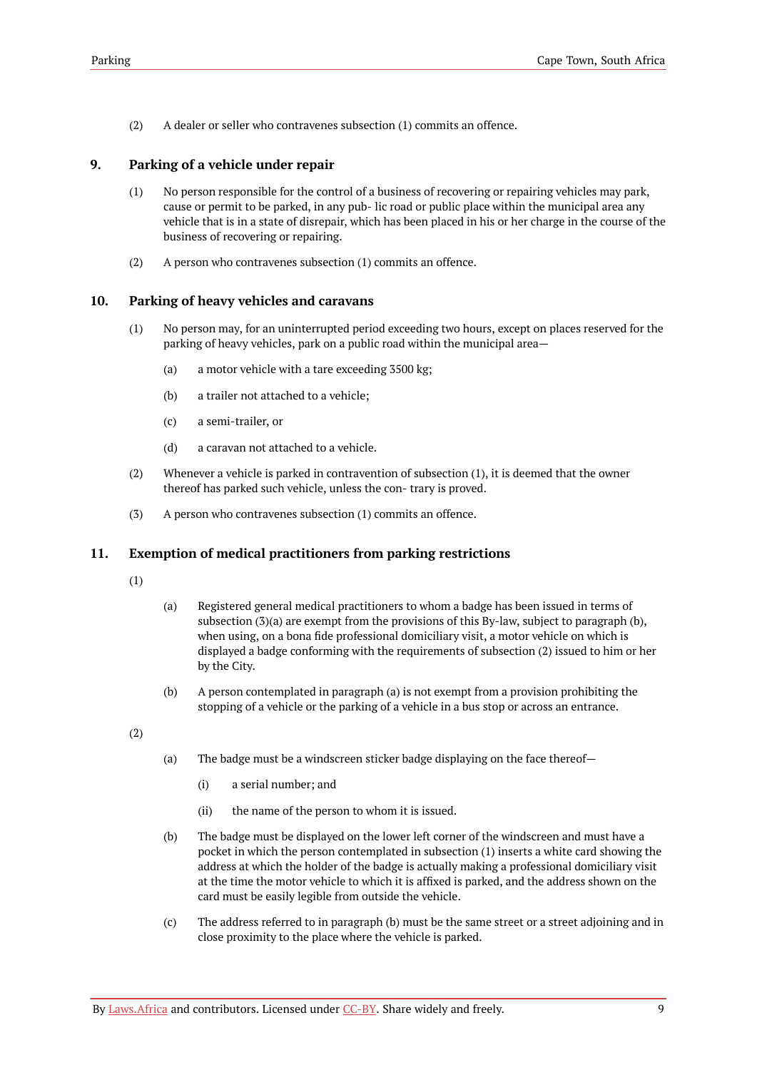(2) A dealer or seller who contravenes subsection (1) commits an offence.

# <span id="page-12-0"></span>**9. Parking of a vehicle under repair**

- (1) No person responsible for the control of a business of recovering or repairing vehicles may park, cause or permit to be parked, in any pub- lic road or public place within the municipal area any vehicle that is in a state of disrepair, which has been placed in his or her charge in the course of the business of recovering or repairing.
- (2) A person who contravenes subsection (1) commits an offence.

# <span id="page-12-1"></span>**10. Parking of heavy vehicles and caravans**

- (1) No person may, for an uninterrupted period exceeding two hours, except on places reserved for the parking of heavy vehicles, park on a public road within the municipal area—
	- (a) a motor vehicle with a tare exceeding 3500 kg;
	- (b) a trailer not attached to a vehicle;
	- (c) a semi-trailer, or
	- (d) a caravan not attached to a vehicle.
- (2) Whenever a vehicle is parked in contravention of subsection (1), it is deemed that the owner thereof has parked such vehicle, unless the con- trary is proved.
- (3) A person who contravenes subsection (1) commits an offence.

# <span id="page-12-2"></span>**11. Exemption of medical practitioners from parking restrictions**

- (1)
- (a) Registered general medical practitioners to whom a badge has been issued in terms of subsection (3)(a) are exempt from the provisions of this By-law, subject to paragraph (b), when using, on a bona fide professional domiciliary visit, a motor vehicle on which is displayed a badge conforming with the requirements of subsection (2) issued to him or her by the City.
- (b) A person contemplated in paragraph (a) is not exempt from a provision prohibiting the stopping of a vehicle or the parking of a vehicle in a bus stop or across an entrance.

(2)

- (a) The badge must be a windscreen sticker badge displaying on the face thereof—
	- (i) a serial number; and
	- (ii) the name of the person to whom it is issued.
- (b) The badge must be displayed on the lower left corner of the windscreen and must have a pocket in which the person contemplated in subsection (1) inserts a white card showing the address at which the holder of the badge is actually making a professional domiciliary visit at the time the motor vehicle to which it is affixed is parked, and the address shown on the card must be easily legible from outside the vehicle.
- (c) The address referred to in paragraph (b) must be the same street or a street adjoining and in close proximity to the place where the vehicle is parked.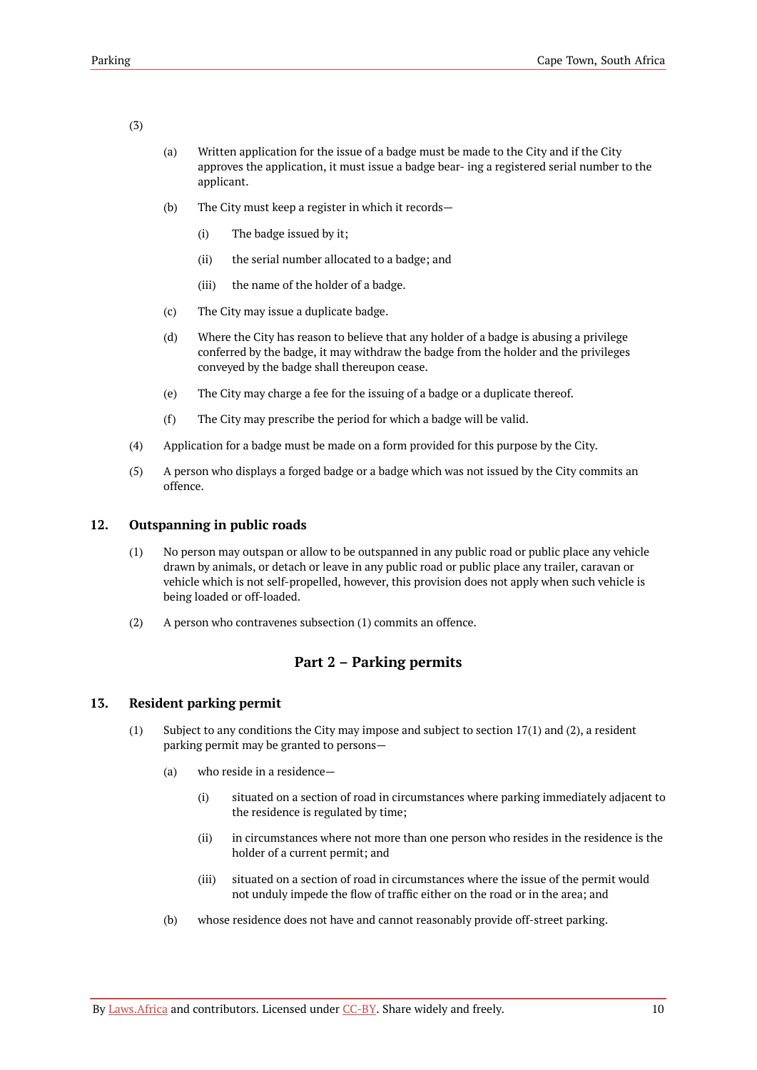#### (3)

- (a) Written application for the issue of a badge must be made to the City and if the City approves the application, it must issue a badge bear- ing a registered serial number to the applicant.
- (b) The City must keep a register in which it records—
	- (i) The badge issued by it;
	- (ii) the serial number allocated to a badge; and
	- (iii) the name of the holder of a badge.
- (c) The City may issue a duplicate badge.
- (d) Where the City has reason to believe that any holder of a badge is abusing a privilege conferred by the badge, it may withdraw the badge from the holder and the privileges conveyed by the badge shall thereupon cease.
- (e) The City may charge a fee for the issuing of a badge or a duplicate thereof.
- (f) The City may prescribe the period for which a badge will be valid.
- (4) Application for a badge must be made on a form provided for this purpose by the City.
- (5) A person who displays a forged badge or a badge which was not issued by the City commits an offence.

### <span id="page-13-0"></span>**12. Outspanning in public roads**

- (1) No person may outspan or allow to be outspanned in any public road or public place any vehicle drawn by animals, or detach or leave in any public road or public place any trailer, caravan or vehicle which is not self-propelled, however, this provision does not apply when such vehicle is being loaded or off-loaded.
- (2) A person who contravenes subsection (1) commits an offence.

# **Part 2 – Parking permits**

# <span id="page-13-2"></span><span id="page-13-1"></span>**13. Resident parking permit**

- (1) Subject to any conditions the City may impose and subject to section 17(1) and (2), a resident parking permit may be granted to persons—
	- (a) who reside in a residence—
		- (i) situated on a section of road in circumstances where parking immediately adjacent to the residence is regulated by time;
		- (ii) in circumstances where not more than one person who resides in the residence is the holder of a current permit; and
		- (iii) situated on a section of road in circumstances where the issue of the permit would not unduly impede the flow of traffic either on the road or in the area; and
	- (b) whose residence does not have and cannot reasonably provide off-street parking.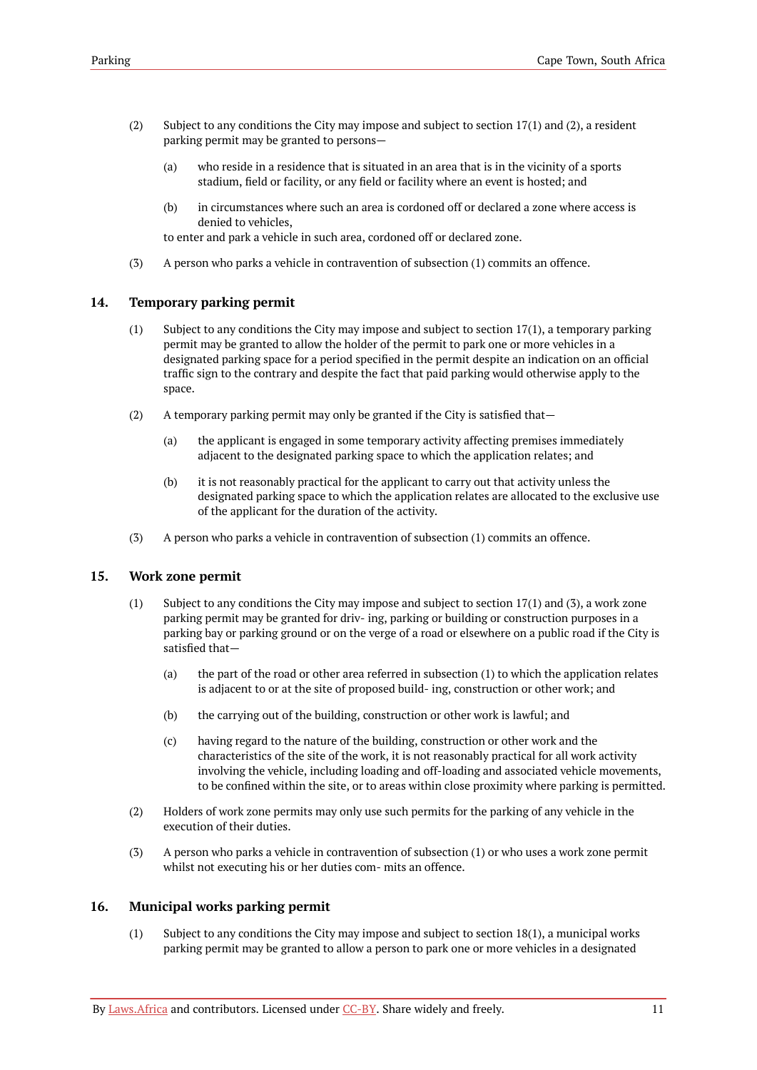- (2) Subject to any conditions the City may impose and subject to section 17(1) and (2), a resident parking permit may be granted to persons—
	- (a) who reside in a residence that is situated in an area that is in the vicinity of a sports stadium, field or facility, or any field or facility where an event is hosted; and
	- (b) in circumstances where such an area is cordoned off or declared a zone where access is denied to vehicles,

to enter and park a vehicle in such area, cordoned off or declared zone.

(3) A person who parks a vehicle in contravention of subsection (1) commits an offence.

#### <span id="page-14-0"></span>**14. Temporary parking permit**

- (1) Subject to any conditions the City may impose and subject to section 17(1), a temporary parking permit may be granted to allow the holder of the permit to park one or more vehicles in a designated parking space for a period specified in the permit despite an indication on an official traffic sign to the contrary and despite the fact that paid parking would otherwise apply to the space.
- (2) A temporary parking permit may only be granted if the City is satisfied that—
	- (a) the applicant is engaged in some temporary activity affecting premises immediately adjacent to the designated parking space to which the application relates; and
	- (b) it is not reasonably practical for the applicant to carry out that activity unless the designated parking space to which the application relates are allocated to the exclusive use of the applicant for the duration of the activity.
- (3) A person who parks a vehicle in contravention of subsection (1) commits an offence.

### <span id="page-14-1"></span>**15. Work zone permit**

- (1) Subject to any conditions the City may impose and subject to section 17(1) and (3), a work zone parking permit may be granted for driv- ing, parking or building or construction purposes in a parking bay or parking ground or on the verge of a road or elsewhere on a public road if the City is satisfied that—
	- (a) the part of the road or other area referred in subsection (1) to which the application relates is adjacent to or at the site of proposed build- ing, construction or other work; and
	- (b) the carrying out of the building, construction or other work is lawful; and
	- (c) having regard to the nature of the building, construction or other work and the characteristics of the site of the work, it is not reasonably practical for all work activity involving the vehicle, including loading and off-loading and associated vehicle movements, to be confined within the site, or to areas within close proximity where parking is permitted.
- (2) Holders of work zone permits may only use such permits for the parking of any vehicle in the execution of their duties.
- (3) A person who parks a vehicle in contravention of subsection (1) or who uses a work zone permit whilst not executing his or her duties com- mits an offence.

### <span id="page-14-2"></span>**16. Municipal works parking permit**

(1) Subject to any conditions the City may impose and subject to section 18(1), a municipal works parking permit may be granted to allow a person to park one or more vehicles in a designated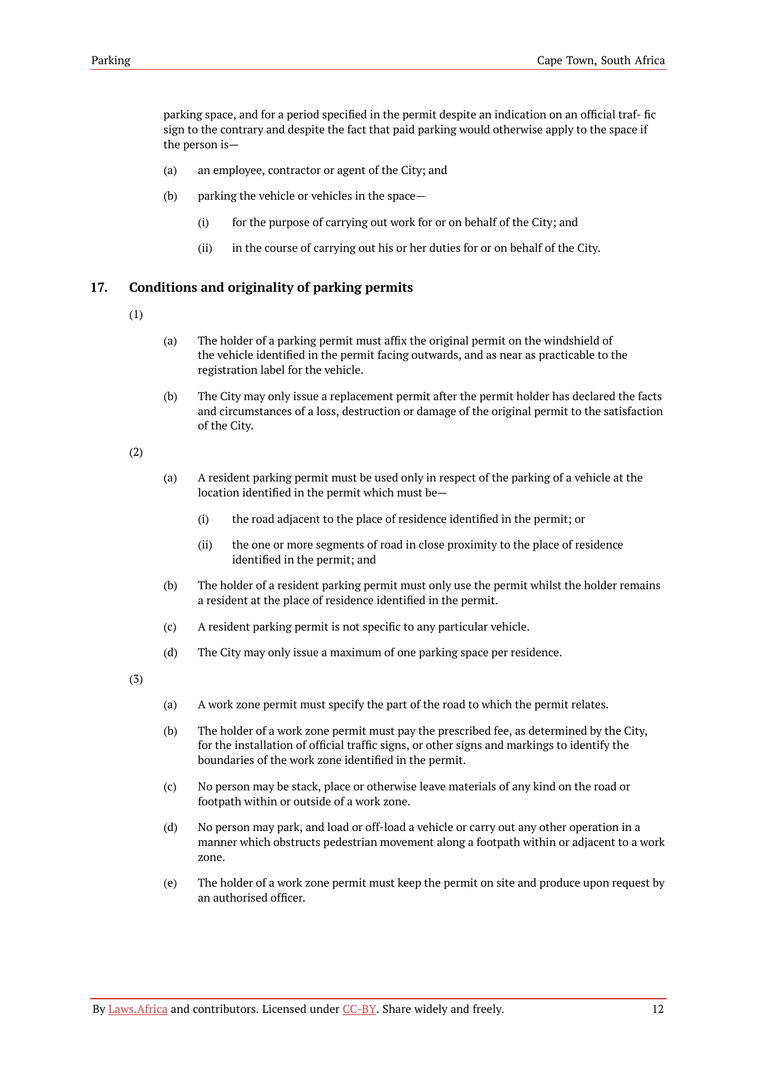parking space, and for a period specified in the permit despite an indication on an official traf- fic sign to the contrary and despite the fact that paid parking would otherwise apply to the space if the person is—

- (a) an employee, contractor or agent of the City; and
- (b) parking the vehicle or vehicles in the space—
	- (i) for the purpose of carrying out work for or on behalf of the City; and
	- (ii) in the course of carrying out his or her duties for or on behalf of the City.

# <span id="page-15-0"></span>**17. Conditions and originality of parking permits**

- (1)
- (a) The holder of a parking permit must affix the original permit on the windshield of the vehicle identified in the permit facing outwards, and as near as practicable to the registration label for the vehicle.
- (b) The City may only issue a replacement permit after the permit holder has declared the facts and circumstances of a loss, destruction or damage of the original permit to the satisfaction of the City.

(2)

- (a) A resident parking permit must be used only in respect of the parking of a vehicle at the location identified in the permit which must be—
	- (i) the road adjacent to the place of residence identified in the permit; or
	- (ii) the one or more segments of road in close proximity to the place of residence identified in the permit; and
- (b) The holder of a resident parking permit must only use the permit whilst the holder remains a resident at the place of residence identified in the permit.
- (c) A resident parking permit is not specific to any particular vehicle.
- (d) The City may only issue a maximum of one parking space per residence.

(3)

- (a) A work zone permit must specify the part of the road to which the permit relates.
- (b) The holder of a work zone permit must pay the prescribed fee, as determined by the City, for the installation of official traffic signs, or other signs and markings to identify the boundaries of the work zone identified in the permit.
- (c) No person may be stack, place or otherwise leave materials of any kind on the road or footpath within or outside of a work zone.
- (d) No person may park, and load or off-load a vehicle or carry out any other operation in a manner which obstructs pedestrian movement along a footpath within or adjacent to a work zone.
- (e) The holder of a work zone permit must keep the permit on site and produce upon request by an authorised officer.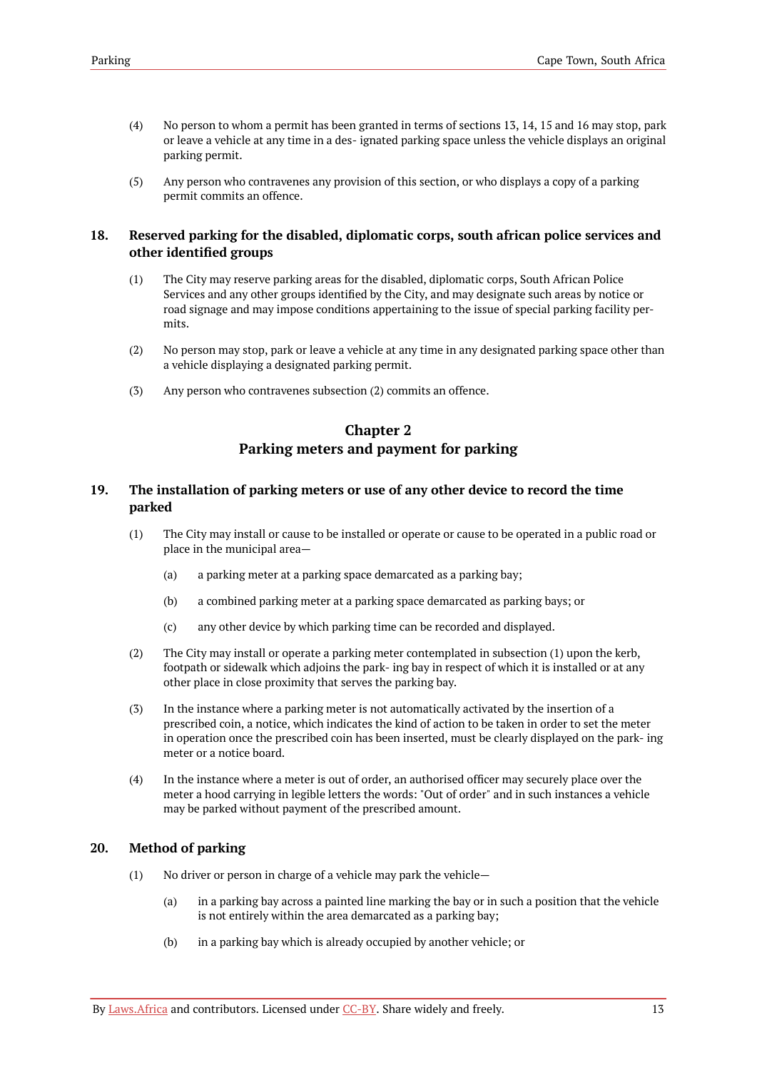- (4) No person to whom a permit has been granted in terms of sections 13, 14, 15 and 16 may stop, park or leave a vehicle at any time in a des- ignated parking space unless the vehicle displays an original parking permit.
- (5) Any person who contravenes any provision of this section, or who displays a copy of a parking permit commits an offence.

# <span id="page-16-0"></span>**18. Reserved parking for the disabled, diplomatic corps, south african police services and other identified groups**

- (1) The City may reserve parking areas for the disabled, diplomatic corps, South African Police Services and any other groups identified by the City, and may designate such areas by notice or road signage and may impose conditions appertaining to the issue of special parking facility permits.
- (2) No person may stop, park or leave a vehicle at any time in any designated parking space other than a vehicle displaying a designated parking permit.
- <span id="page-16-1"></span>(3) Any person who contravenes subsection (2) commits an offence.

# **Chapter 2 Parking meters and payment for parking**

### <span id="page-16-2"></span>**19. The installation of parking meters or use of any other device to record the time parked**

- (1) The City may install or cause to be installed or operate or cause to be operated in a public road or place in the municipal area—
	- (a) a parking meter at a parking space demarcated as a parking bay;
	- (b) a combined parking meter at a parking space demarcated as parking bays; or
	- (c) any other device by which parking time can be recorded and displayed.
- (2) The City may install or operate a parking meter contemplated in subsection (1) upon the kerb, footpath or sidewalk which adjoins the park- ing bay in respect of which it is installed or at any other place in close proximity that serves the parking bay.
- (3) In the instance where a parking meter is not automatically activated by the insertion of a prescribed coin, a notice, which indicates the kind of action to be taken in order to set the meter in operation once the prescribed coin has been inserted, must be clearly displayed on the park- ing meter or a notice board.
- (4) In the instance where a meter is out of order, an authorised officer may securely place over the meter a hood carrying in legible letters the words: "Out of order" and in such instances a vehicle may be parked without payment of the prescribed amount.

# <span id="page-16-3"></span>**20. Method of parking**

- (1) No driver or person in charge of a vehicle may park the vehicle—
	- (a) in a parking bay across a painted line marking the bay or in such a position that the vehicle is not entirely within the area demarcated as a parking bay;
	- (b) in a parking bay which is already occupied by another vehicle; or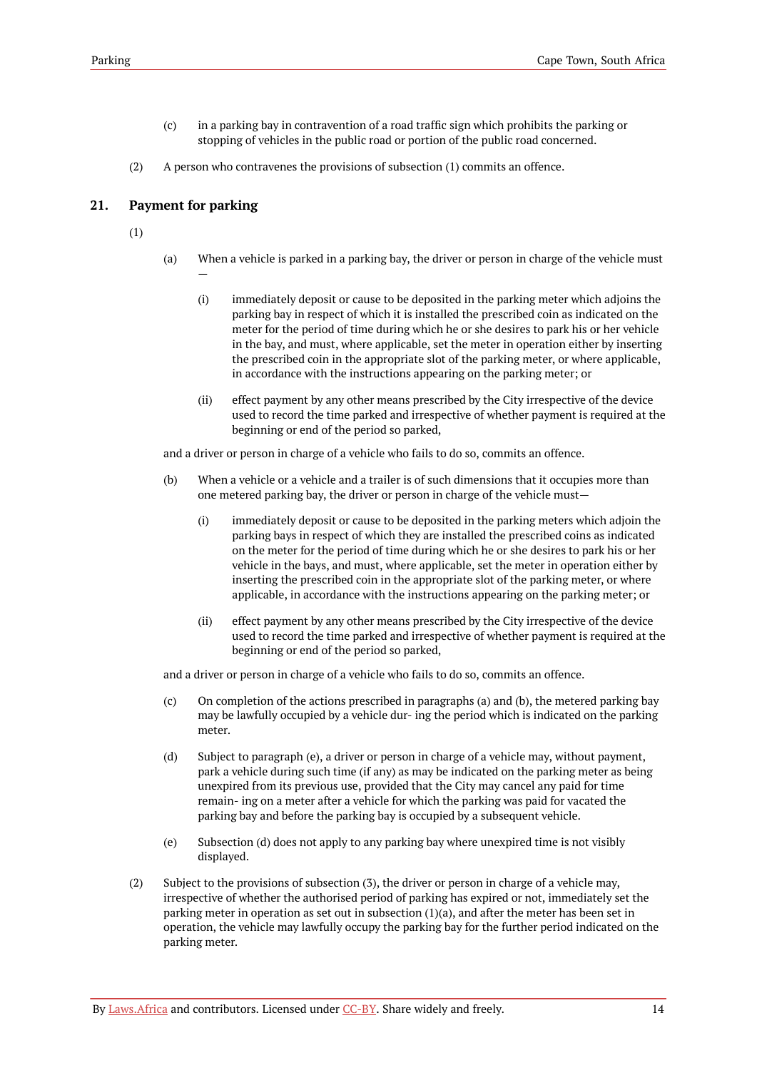- (c) in a parking bay in contravention of a road traffic sign which prohibits the parking or stopping of vehicles in the public road or portion of the public road concerned.
- (2) A person who contravenes the provisions of subsection (1) commits an offence.

### <span id="page-17-0"></span>**21. Payment for parking**

—

- (1)
- (a) When a vehicle is parked in a parking bay, the driver or person in charge of the vehicle must
	- (i) immediately deposit or cause to be deposited in the parking meter which adjoins the parking bay in respect of which it is installed the prescribed coin as indicated on the meter for the period of time during which he or she desires to park his or her vehicle in the bay, and must, where applicable, set the meter in operation either by inserting the prescribed coin in the appropriate slot of the parking meter, or where applicable, in accordance with the instructions appearing on the parking meter; or
	- (ii) effect payment by any other means prescribed by the City irrespective of the device used to record the time parked and irrespective of whether payment is required at the beginning or end of the period so parked,

and a driver or person in charge of a vehicle who fails to do so, commits an offence.

- (b) When a vehicle or a vehicle and a trailer is of such dimensions that it occupies more than one metered parking bay, the driver or person in charge of the vehicle must—
	- (i) immediately deposit or cause to be deposited in the parking meters which adjoin the parking bays in respect of which they are installed the prescribed coins as indicated on the meter for the period of time during which he or she desires to park his or her vehicle in the bays, and must, where applicable, set the meter in operation either by inserting the prescribed coin in the appropriate slot of the parking meter, or where applicable, in accordance with the instructions appearing on the parking meter; or
	- (ii) effect payment by any other means prescribed by the City irrespective of the device used to record the time parked and irrespective of whether payment is required at the beginning or end of the period so parked,

and a driver or person in charge of a vehicle who fails to do so, commits an offence.

- (c) On completion of the actions prescribed in paragraphs (a) and (b), the metered parking bay may be lawfully occupied by a vehicle dur- ing the period which is indicated on the parking meter.
- (d) Subject to paragraph (e), a driver or person in charge of a vehicle may, without payment, park a vehicle during such time (if any) as may be indicated on the parking meter as being unexpired from its previous use, provided that the City may cancel any paid for time remain- ing on a meter after a vehicle for which the parking was paid for vacated the parking bay and before the parking bay is occupied by a subsequent vehicle.
- (e) Subsection (d) does not apply to any parking bay where unexpired time is not visibly displayed.
- (2) Subject to the provisions of subsection (3), the driver or person in charge of a vehicle may, irrespective of whether the authorised period of parking has expired or not, immediately set the parking meter in operation as set out in subsection (1)(a), and after the meter has been set in operation, the vehicle may lawfully occupy the parking bay for the further period indicated on the parking meter.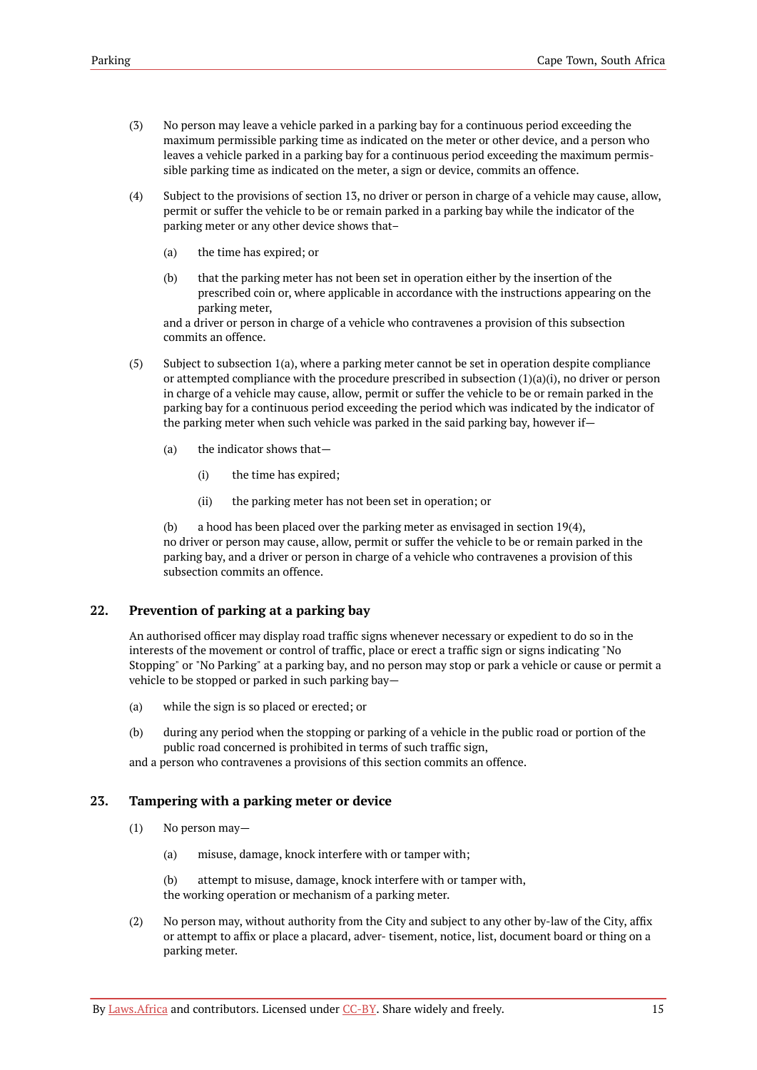- (3) No person may leave a vehicle parked in a parking bay for a continuous period exceeding the maximum permissible parking time as indicated on the meter or other device, and a person who leaves a vehicle parked in a parking bay for a continuous period exceeding the maximum permissible parking time as indicated on the meter, a sign or device, commits an offence.
- (4) Subject to the provisions of section 13, no driver or person in charge of a vehicle may cause, allow, permit or suffer the vehicle to be or remain parked in a parking bay while the indicator of the parking meter or any other device shows that–
	- (a) the time has expired; or
	- (b) that the parking meter has not been set in operation either by the insertion of the prescribed coin or, where applicable in accordance with the instructions appearing on the parking meter,

and a driver or person in charge of a vehicle who contravenes a provision of this subsection commits an offence.

- (5) Subject to subsection 1(a), where a parking meter cannot be set in operation despite compliance or attempted compliance with the procedure prescribed in subsection  $(1)(a)(i)$ , no driver or person in charge of a vehicle may cause, allow, permit or suffer the vehicle to be or remain parked in the parking bay for a continuous period exceeding the period which was indicated by the indicator of the parking meter when such vehicle was parked in the said parking bay, however if—
	- (a) the indicator shows that—
		- (i) the time has expired;
		- (ii) the parking meter has not been set in operation; or

(b) a hood has been placed over the parking meter as envisaged in section  $19(4)$ , no driver or person may cause, allow, permit or suffer the vehicle to be or remain parked in the parking bay, and a driver or person in charge of a vehicle who contravenes a provision of this subsection commits an offence.

# <span id="page-18-0"></span>**22. Prevention of parking at a parking bay**

An authorised officer may display road traffic signs whenever necessary or expedient to do so in the interests of the movement or control of traffic, place or erect a traffic sign or signs indicating "No Stopping" or "No Parking" at a parking bay, and no person may stop or park a vehicle or cause or permit a vehicle to be stopped or parked in such parking bay—

- (a) while the sign is so placed or erected; or
- (b) during any period when the stopping or parking of a vehicle in the public road or portion of the public road concerned is prohibited in terms of such traffic sign,

and a person who contravenes a provisions of this section commits an offence.

# <span id="page-18-1"></span>**23. Tampering with a parking meter or device**

- (1) No person may—
	- (a) misuse, damage, knock interfere with or tamper with;

(b) attempt to misuse, damage, knock interfere with or tamper with, the working operation or mechanism of a parking meter.

(2) No person may, without authority from the City and subject to any other by-law of the City, affix or attempt to affix or place a placard, adver- tisement, notice, list, document board or thing on a parking meter.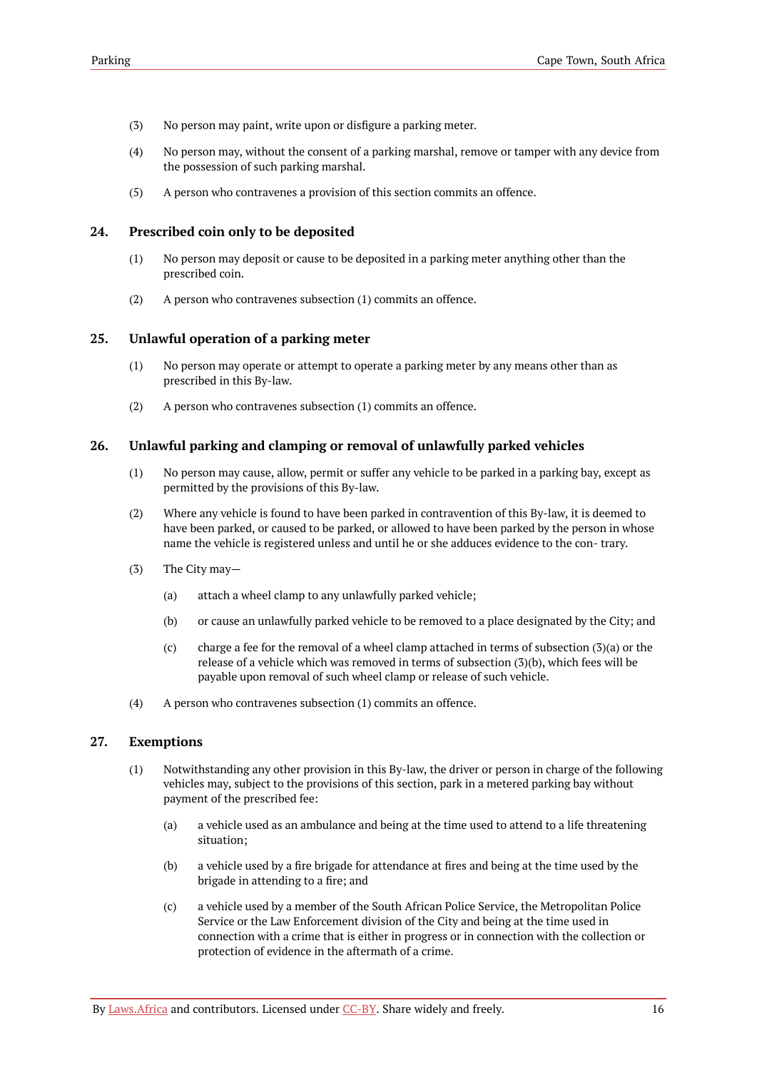- (3) No person may paint, write upon or disfigure a parking meter.
- (4) No person may, without the consent of a parking marshal, remove or tamper with any device from the possession of such parking marshal.
- (5) A person who contravenes a provision of this section commits an offence.

### <span id="page-19-0"></span>**24. Prescribed coin only to be deposited**

- (1) No person may deposit or cause to be deposited in a parking meter anything other than the prescribed coin.
- (2) A person who contravenes subsection (1) commits an offence.

### <span id="page-19-1"></span>**25. Unlawful operation of a parking meter**

- (1) No person may operate or attempt to operate a parking meter by any means other than as prescribed in this By-law.
- (2) A person who contravenes subsection (1) commits an offence.

### <span id="page-19-2"></span>**26. Unlawful parking and clamping or removal of unlawfully parked vehicles**

- (1) No person may cause, allow, permit or suffer any vehicle to be parked in a parking bay, except as permitted by the provisions of this By-law.
- (2) Where any vehicle is found to have been parked in contravention of this By-law, it is deemed to have been parked, or caused to be parked, or allowed to have been parked by the person in whose name the vehicle is registered unless and until he or she adduces evidence to the con- trary.
- (3) The City may—
	- (a) attach a wheel clamp to any unlawfully parked vehicle;
	- (b) or cause an unlawfully parked vehicle to be removed to a place designated by the City; and
	- (c) charge a fee for the removal of a wheel clamp attached in terms of subsection  $(3)(a)$  or the release of a vehicle which was removed in terms of subsection (3)(b), which fees will be payable upon removal of such wheel clamp or release of such vehicle.
- (4) A person who contravenes subsection (1) commits an offence.

### <span id="page-19-3"></span>**27. Exemptions**

- (1) Notwithstanding any other provision in this By-law, the driver or person in charge of the following vehicles may, subject to the provisions of this section, park in a metered parking bay without payment of the prescribed fee:
	- (a) a vehicle used as an ambulance and being at the time used to attend to a life threatening situation;
	- (b) a vehicle used by a fire brigade for attendance at fires and being at the time used by the brigade in attending to a fire; and
	- (c) a vehicle used by a member of the South African Police Service, the Metropolitan Police Service or the Law Enforcement division of the City and being at the time used in connection with a crime that is either in progress or in connection with the collection or protection of evidence in the aftermath of a crime.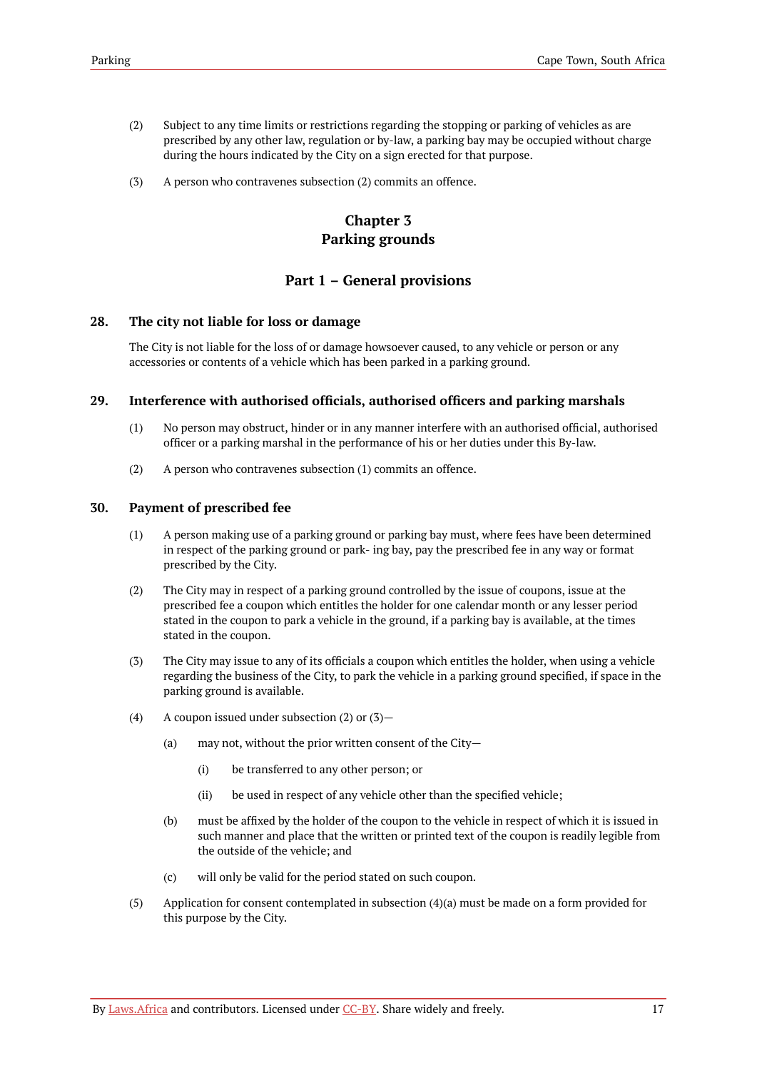- (2) Subject to any time limits or restrictions regarding the stopping or parking of vehicles as are prescribed by any other law, regulation or by-law, a parking bay may be occupied without charge during the hours indicated by the City on a sign erected for that purpose.
- <span id="page-20-0"></span>(3) A person who contravenes subsection (2) commits an offence.

# **Chapter 3 Parking grounds**

# **Part 1 – General provisions**

### <span id="page-20-2"></span><span id="page-20-1"></span>**28. The city not liable for loss or damage**

The City is not liable for the loss of or damage howsoever caused, to any vehicle or person or any accessories or contents of a vehicle which has been parked in a parking ground.

### <span id="page-20-3"></span>**29. Interference with authorised officials, authorised officers and parking marshals**

- (1) No person may obstruct, hinder or in any manner interfere with an authorised official, authorised officer or a parking marshal in the performance of his or her duties under this By-law.
- (2) A person who contravenes subsection (1) commits an offence.

### <span id="page-20-4"></span>**30. Payment of prescribed fee**

- (1) A person making use of a parking ground or parking bay must, where fees have been determined in respect of the parking ground or park- ing bay, pay the prescribed fee in any way or format prescribed by the City.
- (2) The City may in respect of a parking ground controlled by the issue of coupons, issue at the prescribed fee a coupon which entitles the holder for one calendar month or any lesser period stated in the coupon to park a vehicle in the ground, if a parking bay is available, at the times stated in the coupon.
- (3) The City may issue to any of its officials a coupon which entitles the holder, when using a vehicle regarding the business of the City, to park the vehicle in a parking ground specified, if space in the parking ground is available.
- (4) A coupon issued under subsection  $(2)$  or  $(3)$ 
	- (a) may not, without the prior written consent of the City—
		- (i) be transferred to any other person; or
		- (ii) be used in respect of any vehicle other than the specified vehicle;
	- (b) must be affixed by the holder of the coupon to the vehicle in respect of which it is issued in such manner and place that the written or printed text of the coupon is readily legible from the outside of the vehicle; and
	- (c) will only be valid for the period stated on such coupon.
- (5) Application for consent contemplated in subsection (4)(a) must be made on a form provided for this purpose by the City.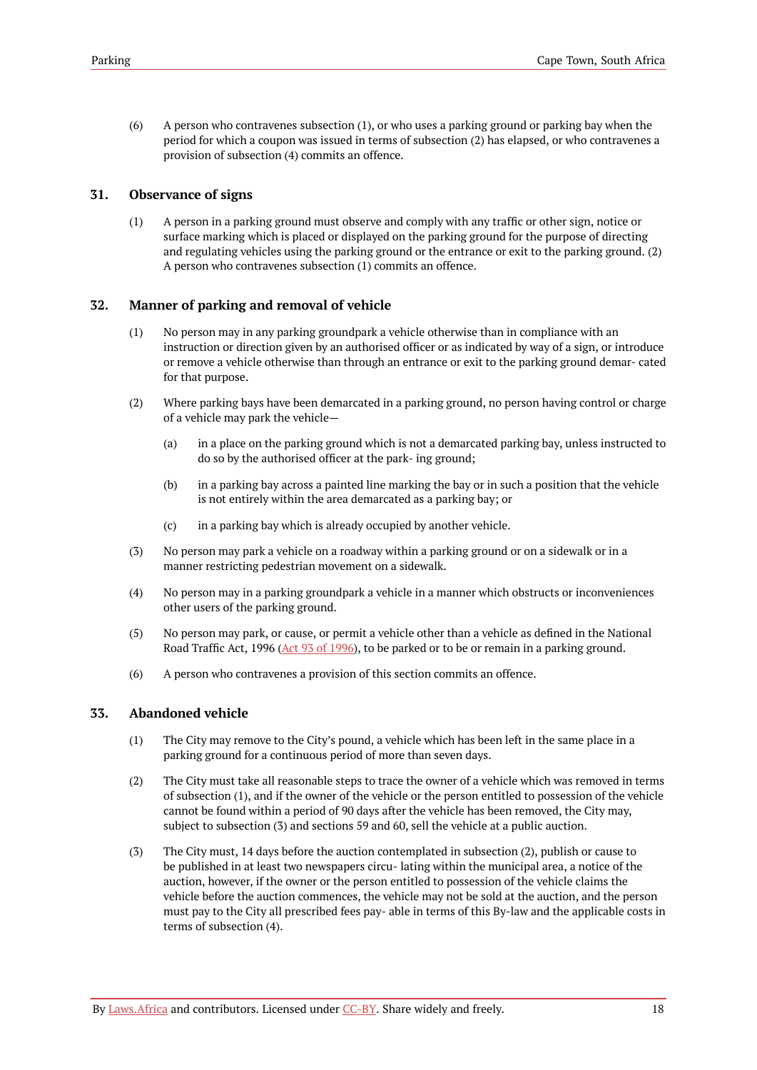(6) A person who contravenes subsection (1), or who uses a parking ground or parking bay when the period for which a coupon was issued in terms of subsection (2) has elapsed, or who contravenes a provision of subsection (4) commits an offence.

### <span id="page-21-0"></span>**31. Observance of signs**

(1) A person in a parking ground must observe and comply with any traffic or other sign, notice or surface marking which is placed or displayed on the parking ground for the purpose of directing and regulating vehicles using the parking ground or the entrance or exit to the parking ground. (2) A person who contravenes subsection (1) commits an offence.

### <span id="page-21-1"></span>**32. Manner of parking and removal of vehicle**

- (1) No person may in any parking groundpark a vehicle otherwise than in compliance with an instruction or direction given by an authorised officer or as indicated by way of a sign, or introduce or remove a vehicle otherwise than through an entrance or exit to the parking ground demar- cated for that purpose.
- (2) Where parking bays have been demarcated in a parking ground, no person having control or charge of a vehicle may park the vehicle—
	- (a) in a place on the parking ground which is not a demarcated parking bay, unless instructed to do so by the authorised officer at the park- ing ground;
	- (b) in a parking bay across a painted line marking the bay or in such a position that the vehicle is not entirely within the area demarcated as a parking bay; or
	- (c) in a parking bay which is already occupied by another vehicle.
- (3) No person may park a vehicle on a roadway within a parking ground or on a sidewalk or in a manner restricting pedestrian movement on a sidewalk.
- (4) No person may in a parking groundpark a vehicle in a manner which obstructs or inconveniences other users of the parking ground.
- (5) No person may park, or cause, or permit a vehicle other than a vehicle as defined in the National Road Traffic Act, 1996 (Act 93 of [1996](https://resolver.laws.africa/resolve/akn/za/act/1996/93)), to be parked or to be or remain in a parking ground.
- (6) A person who contravenes a provision of this section commits an offence.

### <span id="page-21-2"></span>**33. Abandoned vehicle**

- (1) The City may remove to the City's pound, a vehicle which has been left in the same place in a parking ground for a continuous period of more than seven days.
- (2) The City must take all reasonable steps to trace the owner of a vehicle which was removed in terms of subsection (1), and if the owner of the vehicle or the person entitled to possession of the vehicle cannot be found within a period of 90 days after the vehicle has been removed, the City may, subject to subsection (3) and sections 59 and 60, sell the vehicle at a public auction.
- (3) The City must, 14 days before the auction contemplated in subsection (2), publish or cause to be published in at least two newspapers circu- lating within the municipal area, a notice of the auction, however, if the owner or the person entitled to possession of the vehicle claims the vehicle before the auction commences, the vehicle may not be sold at the auction, and the person must pay to the City all prescribed fees pay- able in terms of this By-law and the applicable costs in terms of subsection (4).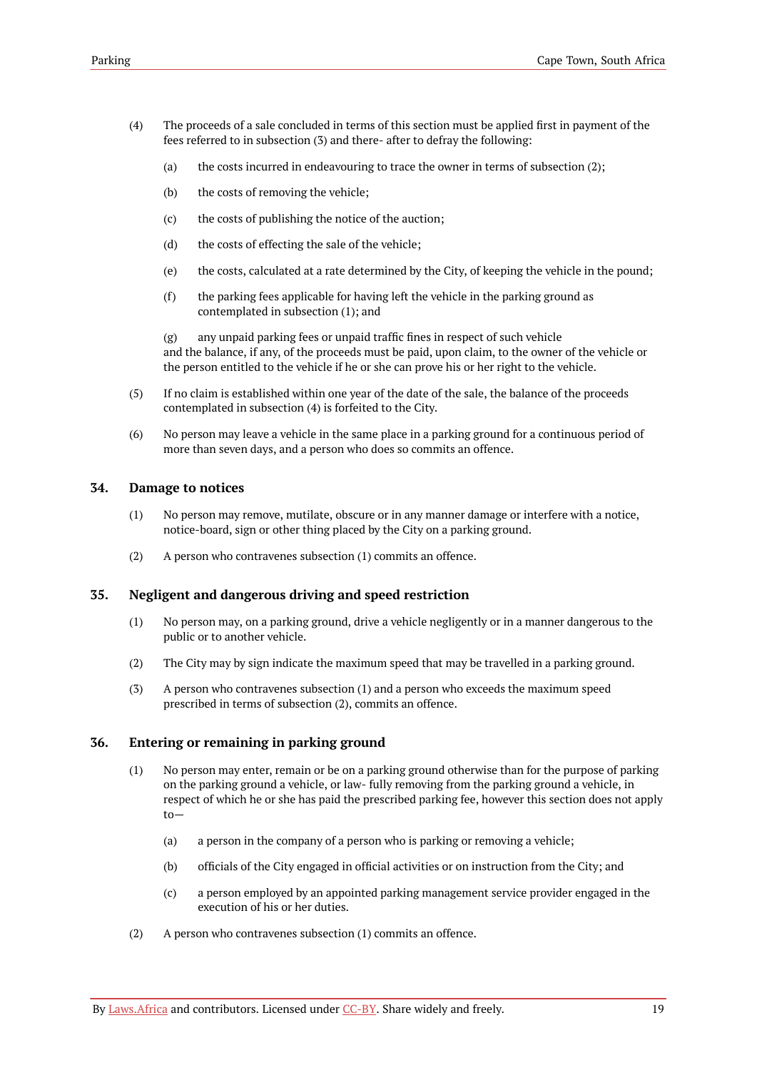- (4) The proceeds of a sale concluded in terms of this section must be applied first in payment of the fees referred to in subsection (3) and there- after to defray the following:
	- (a) the costs incurred in endeavouring to trace the owner in terms of subsection (2);
	- (b) the costs of removing the vehicle;
	- (c) the costs of publishing the notice of the auction;
	- (d) the costs of effecting the sale of the vehicle;
	- (e) the costs, calculated at a rate determined by the City, of keeping the vehicle in the pound;
	- (f) the parking fees applicable for having left the vehicle in the parking ground as contemplated in subsection (1); and

(g) any unpaid parking fees or unpaid traffic fines in respect of such vehicle and the balance, if any, of the proceeds must be paid, upon claim, to the owner of the vehicle or the person entitled to the vehicle if he or she can prove his or her right to the vehicle.

- (5) If no claim is established within one year of the date of the sale, the balance of the proceeds contemplated in subsection (4) is forfeited to the City.
- (6) No person may leave a vehicle in the same place in a parking ground for a continuous period of more than seven days, and a person who does so commits an offence.

#### <span id="page-22-0"></span>**34. Damage to notices**

- (1) No person may remove, mutilate, obscure or in any manner damage or interfere with a notice, notice-board, sign or other thing placed by the City on a parking ground.
- (2) A person who contravenes subsection (1) commits an offence.

### <span id="page-22-1"></span>**35. Negligent and dangerous driving and speed restriction**

- (1) No person may, on a parking ground, drive a vehicle negligently or in a manner dangerous to the public or to another vehicle.
- (2) The City may by sign indicate the maximum speed that may be travelled in a parking ground.
- (3) A person who contravenes subsection (1) and a person who exceeds the maximum speed prescribed in terms of subsection (2), commits an offence.

### <span id="page-22-2"></span>**36. Entering or remaining in parking ground**

- (1) No person may enter, remain or be on a parking ground otherwise than for the purpose of parking on the parking ground a vehicle, or law- fully removing from the parking ground a vehicle, in respect of which he or she has paid the prescribed parking fee, however this section does not apply to—
	- (a) a person in the company of a person who is parking or removing a vehicle;
	- (b) officials of the City engaged in official activities or on instruction from the City; and
	- (c) a person employed by an appointed parking management service provider engaged in the execution of his or her duties.
- (2) A person who contravenes subsection (1) commits an offence.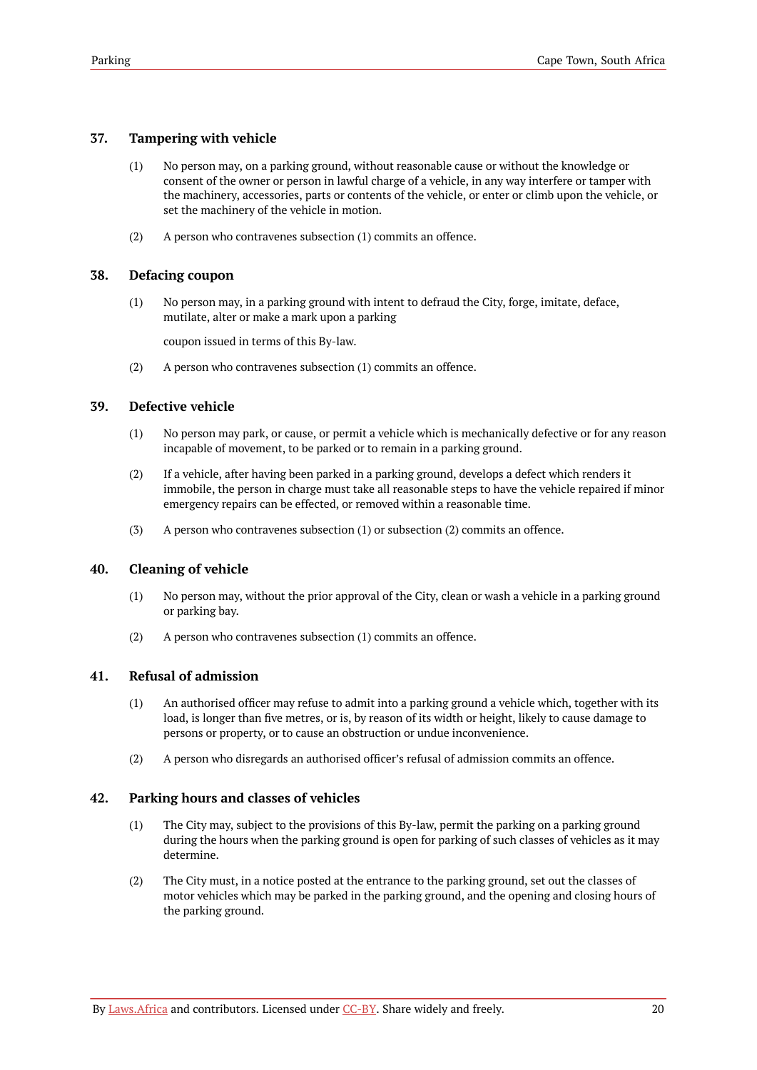# <span id="page-23-0"></span>**37. Tampering with vehicle**

- (1) No person may, on a parking ground, without reasonable cause or without the knowledge or consent of the owner or person in lawful charge of a vehicle, in any way interfere or tamper with the machinery, accessories, parts or contents of the vehicle, or enter or climb upon the vehicle, or set the machinery of the vehicle in motion.
- (2) A person who contravenes subsection (1) commits an offence.

# <span id="page-23-1"></span>**38. Defacing coupon**

(1) No person may, in a parking ground with intent to defraud the City, forge, imitate, deface, mutilate, alter or make a mark upon a parking

coupon issued in terms of this By-law.

(2) A person who contravenes subsection (1) commits an offence.

# <span id="page-23-2"></span>**39. Defective vehicle**

- (1) No person may park, or cause, or permit a vehicle which is mechanically defective or for any reason incapable of movement, to be parked or to remain in a parking ground.
- (2) If a vehicle, after having been parked in a parking ground, develops a defect which renders it immobile, the person in charge must take all reasonable steps to have the vehicle repaired if minor emergency repairs can be effected, or removed within a reasonable time.
- (3) A person who contravenes subsection (1) or subsection (2) commits an offence.

# <span id="page-23-3"></span>**40. Cleaning of vehicle**

- (1) No person may, without the prior approval of the City, clean or wash a vehicle in a parking ground or parking bay.
- (2) A person who contravenes subsection (1) commits an offence.

# <span id="page-23-4"></span>**41. Refusal of admission**

- (1) An authorised officer may refuse to admit into a parking ground a vehicle which, together with its load, is longer than five metres, or is, by reason of its width or height, likely to cause damage to persons or property, or to cause an obstruction or undue inconvenience.
- (2) A person who disregards an authorised officer's refusal of admission commits an offence.

# <span id="page-23-5"></span>**42. Parking hours and classes of vehicles**

- (1) The City may, subject to the provisions of this By-law, permit the parking on a parking ground during the hours when the parking ground is open for parking of such classes of vehicles as it may determine.
- (2) The City must, in a notice posted at the entrance to the parking ground, set out the classes of motor vehicles which may be parked in the parking ground, and the opening and closing hours of the parking ground.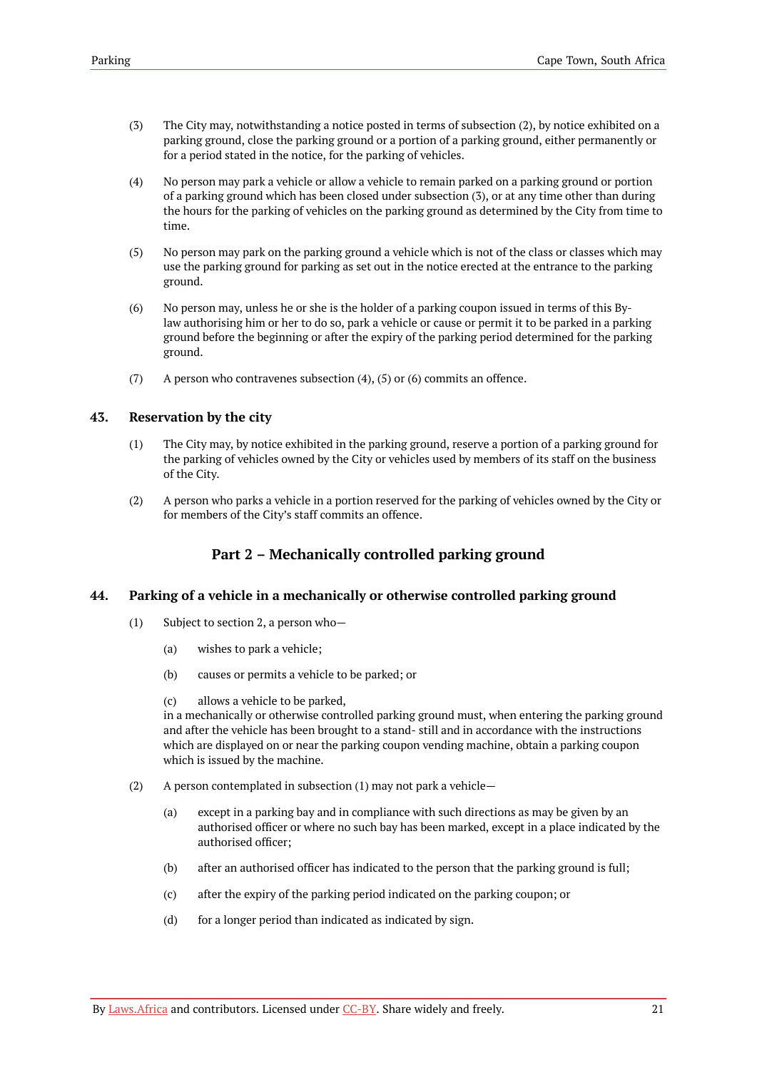- (3) The City may, notwithstanding a notice posted in terms of subsection (2), by notice exhibited on a parking ground, close the parking ground or a portion of a parking ground, either permanently or for a period stated in the notice, for the parking of vehicles.
- (4) No person may park a vehicle or allow a vehicle to remain parked on a parking ground or portion of a parking ground which has been closed under subsection (3), or at any time other than during the hours for the parking of vehicles on the parking ground as determined by the City from time to time.
- (5) No person may park on the parking ground a vehicle which is not of the class or classes which may use the parking ground for parking as set out in the notice erected at the entrance to the parking ground.
- (6) No person may, unless he or she is the holder of a parking coupon issued in terms of this Bylaw authorising him or her to do so, park a vehicle or cause or permit it to be parked in a parking ground before the beginning or after the expiry of the parking period determined for the parking ground.
- (7) A person who contravenes subsection  $(4)$ ,  $(5)$  or  $(6)$  commits an offence.

### <span id="page-24-0"></span>**43. Reservation by the city**

- (1) The City may, by notice exhibited in the parking ground, reserve a portion of a parking ground for the parking of vehicles owned by the City or vehicles used by members of its staff on the business of the City.
- (2) A person who parks a vehicle in a portion reserved for the parking of vehicles owned by the City or for members of the City's staff commits an offence.

# **Part 2 – Mechanically controlled parking ground**

### <span id="page-24-2"></span><span id="page-24-1"></span>**44. Parking of a vehicle in a mechanically or otherwise controlled parking ground**

- (1) Subject to section 2, a person who—
	- (a) wishes to park a vehicle;
	- (b) causes or permits a vehicle to be parked; or
	- (c) allows a vehicle to be parked,

in a mechanically or otherwise controlled parking ground must, when entering the parking ground and after the vehicle has been brought to a stand- still and in accordance with the instructions which are displayed on or near the parking coupon vending machine, obtain a parking coupon which is issued by the machine.

- (2) A person contemplated in subsection (1) may not park a vehicle—
	- (a) except in a parking bay and in compliance with such directions as may be given by an authorised officer or where no such bay has been marked, except in a place indicated by the authorised officer;
	- (b) after an authorised officer has indicated to the person that the parking ground is full;
	- (c) after the expiry of the parking period indicated on the parking coupon; or
	- (d) for a longer period than indicated as indicated by sign.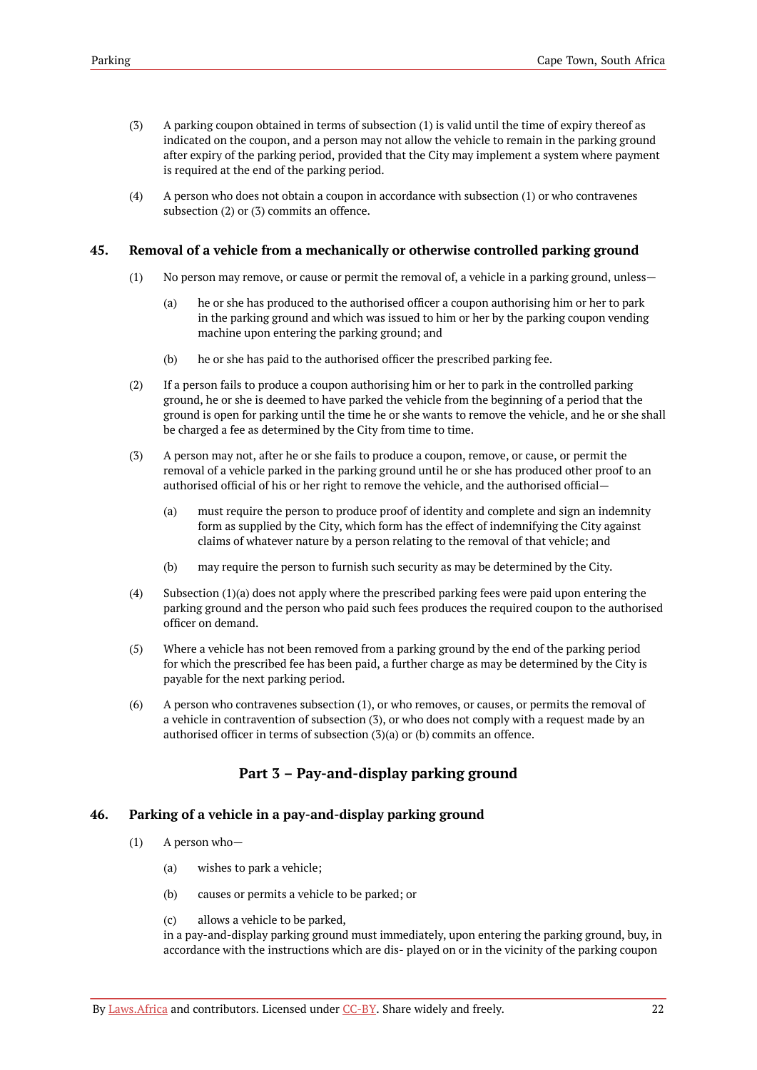- (3) A parking coupon obtained in terms of subsection (1) is valid until the time of expiry thereof as indicated on the coupon, and a person may not allow the vehicle to remain in the parking ground after expiry of the parking period, provided that the City may implement a system where payment is required at the end of the parking period.
- (4) A person who does not obtain a coupon in accordance with subsection (1) or who contravenes subsection (2) or (3) commits an offence.

#### <span id="page-25-0"></span>**45. Removal of a vehicle from a mechanically or otherwise controlled parking ground**

- (1) No person may remove, or cause or permit the removal of, a vehicle in a parking ground, unless—
	- (a) he or she has produced to the authorised officer a coupon authorising him or her to park in the parking ground and which was issued to him or her by the parking coupon vending machine upon entering the parking ground; and
	- (b) he or she has paid to the authorised officer the prescribed parking fee.
- (2) If a person fails to produce a coupon authorising him or her to park in the controlled parking ground, he or she is deemed to have parked the vehicle from the beginning of a period that the ground is open for parking until the time he or she wants to remove the vehicle, and he or she shall be charged a fee as determined by the City from time to time.
- (3) A person may not, after he or she fails to produce a coupon, remove, or cause, or permit the removal of a vehicle parked in the parking ground until he or she has produced other proof to an authorised official of his or her right to remove the vehicle, and the authorised official—
	- (a) must require the person to produce proof of identity and complete and sign an indemnity form as supplied by the City, which form has the effect of indemnifying the City against claims of whatever nature by a person relating to the removal of that vehicle; and
	- (b) may require the person to furnish such security as may be determined by the City.
- (4) Subsection (1)(a) does not apply where the prescribed parking fees were paid upon entering the parking ground and the person who paid such fees produces the required coupon to the authorised officer on demand.
- (5) Where a vehicle has not been removed from a parking ground by the end of the parking period for which the prescribed fee has been paid, a further charge as may be determined by the City is payable for the next parking period.
- (6) A person who contravenes subsection (1), or who removes, or causes, or permits the removal of a vehicle in contravention of subsection (3), or who does not comply with a request made by an authorised officer in terms of subsection (3)(a) or (b) commits an offence.

# **Part 3 – Pay-and-display parking ground**

#### <span id="page-25-2"></span><span id="page-25-1"></span>**46. Parking of a vehicle in a pay-and-display parking ground**

- (1) A person who—
	- (a) wishes to park a vehicle;
	- (b) causes or permits a vehicle to be parked; or
	- (c) allows a vehicle to be parked,

in a pay-and-display parking ground must immediately, upon entering the parking ground, buy, in accordance with the instructions which are dis- played on or in the vicinity of the parking coupon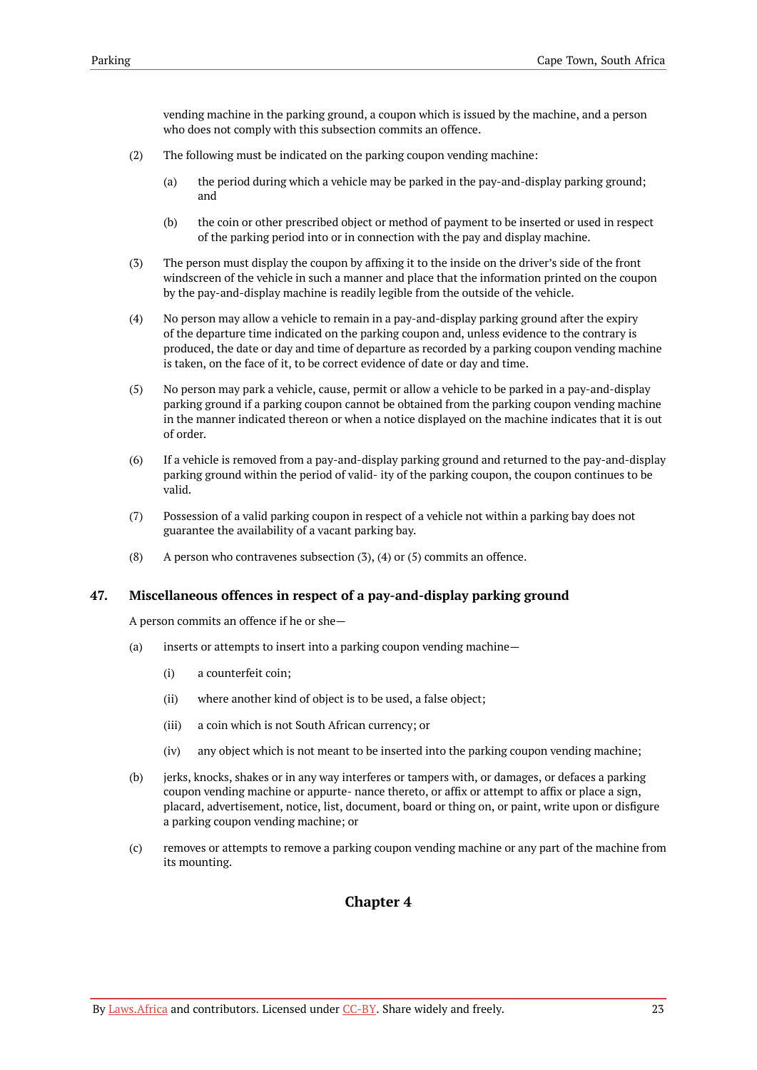vending machine in the parking ground, a coupon which is issued by the machine, and a person who does not comply with this subsection commits an offence.

- (2) The following must be indicated on the parking coupon vending machine:
	- (a) the period during which a vehicle may be parked in the pay-and-display parking ground; and
	- (b) the coin or other prescribed object or method of payment to be inserted or used in respect of the parking period into or in connection with the pay and display machine.
- (3) The person must display the coupon by affixing it to the inside on the driver's side of the front windscreen of the vehicle in such a manner and place that the information printed on the coupon by the pay-and-display machine is readily legible from the outside of the vehicle.
- (4) No person may allow a vehicle to remain in a pay-and-display parking ground after the expiry of the departure time indicated on the parking coupon and, unless evidence to the contrary is produced, the date or day and time of departure as recorded by a parking coupon vending machine is taken, on the face of it, to be correct evidence of date or day and time.
- (5) No person may park a vehicle, cause, permit or allow a vehicle to be parked in a pay-and-display parking ground if a parking coupon cannot be obtained from the parking coupon vending machine in the manner indicated thereon or when a notice displayed on the machine indicates that it is out of order.
- (6) If a vehicle is removed from a pay-and-display parking ground and returned to the pay-and-display parking ground within the period of valid- ity of the parking coupon, the coupon continues to be valid.
- (7) Possession of a valid parking coupon in respect of a vehicle not within a parking bay does not guarantee the availability of a vacant parking bay.
- (8) A person who contravenes subsection  $(3)$ ,  $(4)$  or  $(5)$  commits an offence.

### <span id="page-26-0"></span>**47. Miscellaneous offences in respect of a pay-and-display parking ground**

A person commits an offence if he or she—

- (a) inserts or attempts to insert into a parking coupon vending machine—
	- (i) a counterfeit coin;
	- (ii) where another kind of object is to be used, a false object;
	- (iii) a coin which is not South African currency; or
	- (iv) any object which is not meant to be inserted into the parking coupon vending machine;
- (b) jerks, knocks, shakes or in any way interferes or tampers with, or damages, or defaces a parking coupon vending machine or appurte- nance thereto, or affix or attempt to affix or place a sign, placard, advertisement, notice, list, document, board or thing on, or paint, write upon or disfigure a parking coupon vending machine; or
- <span id="page-26-1"></span>(c) removes or attempts to remove a parking coupon vending machine or any part of the machine from its mounting.

# **Chapter 4**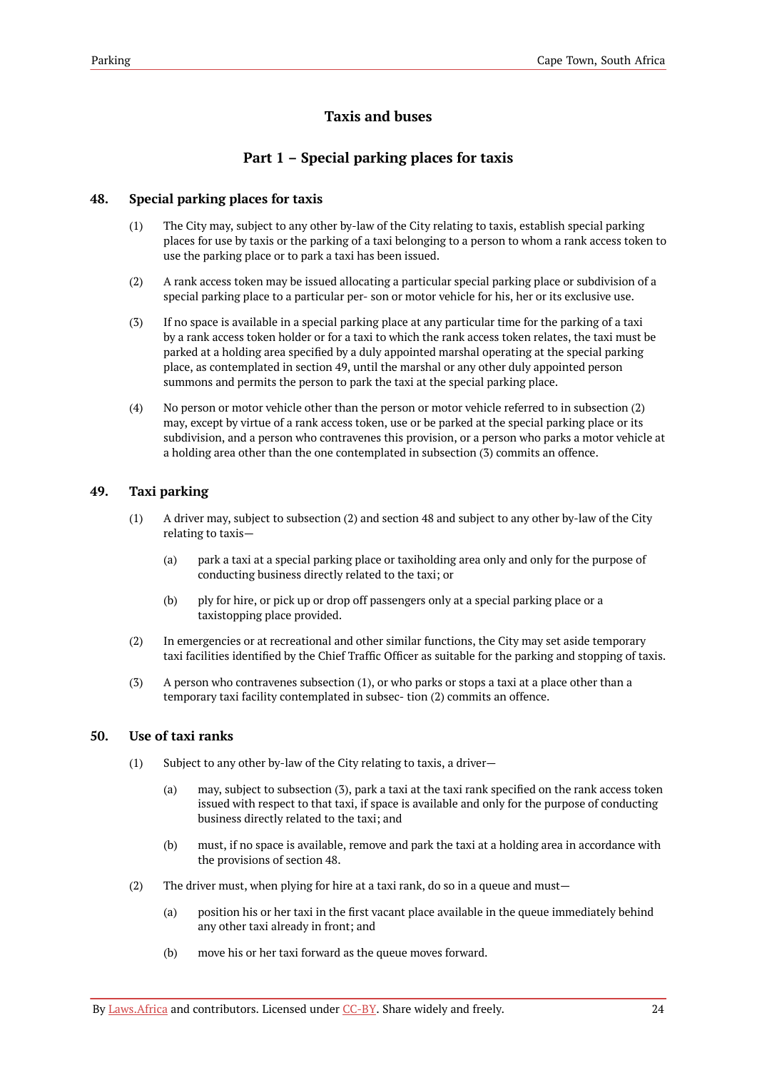# **Taxis and buses**

# **Part 1 – Special parking places for taxis**

# <span id="page-27-1"></span><span id="page-27-0"></span>**48. Special parking places for taxis**

- (1) The City may, subject to any other by-law of the City relating to taxis, establish special parking places for use by taxis or the parking of a taxi belonging to a person to whom a rank access token to use the parking place or to park a taxi has been issued.
- (2) A rank access token may be issued allocating a particular special parking place or subdivision of a special parking place to a particular per- son or motor vehicle for his, her or its exclusive use.
- (3) If no space is available in a special parking place at any particular time for the parking of a taxi by a rank access token holder or for a taxi to which the rank access token relates, the taxi must be parked at a holding area specified by a duly appointed marshal operating at the special parking place, as contemplated in section 49, until the marshal or any other duly appointed person summons and permits the person to park the taxi at the special parking place.
- (4) No person or motor vehicle other than the person or motor vehicle referred to in subsection (2) may, except by virtue of a rank access token, use or be parked at the special parking place or its subdivision, and a person who contravenes this provision, or a person who parks a motor vehicle at a holding area other than the one contemplated in subsection (3) commits an offence.

# <span id="page-27-2"></span>**49. Taxi parking**

- (1) A driver may, subject to subsection (2) and section 48 and subject to any other by-law of the City relating to taxis—
	- (a) park a taxi at a special parking place or taxiholding area only and only for the purpose of conducting business directly related to the taxi; or
	- (b) ply for hire, or pick up or drop off passengers only at a special parking place or a taxistopping place provided.
- (2) In emergencies or at recreational and other similar functions, the City may set aside temporary taxi facilities identified by the Chief Traffic Officer as suitable for the parking and stopping of taxis.
- (3) A person who contravenes subsection (1), or who parks or stops a taxi at a place other than a temporary taxi facility contemplated in subsec- tion (2) commits an offence.

# <span id="page-27-3"></span>**50. Use of taxi ranks**

- (1) Subject to any other by-law of the City relating to taxis, a driver—
	- (a) may, subject to subsection (3), park a taxi at the taxi rank specified on the rank access token issued with respect to that taxi, if space is available and only for the purpose of conducting business directly related to the taxi; and
	- (b) must, if no space is available, remove and park the taxi at a holding area in accordance with the provisions of section 48.
- (2) The driver must, when plying for hire at a taxi rank, do so in a queue and must—
	- (a) position his or her taxi in the first vacant place available in the queue immediately behind any other taxi already in front; and
	- (b) move his or her taxi forward as the queue moves forward.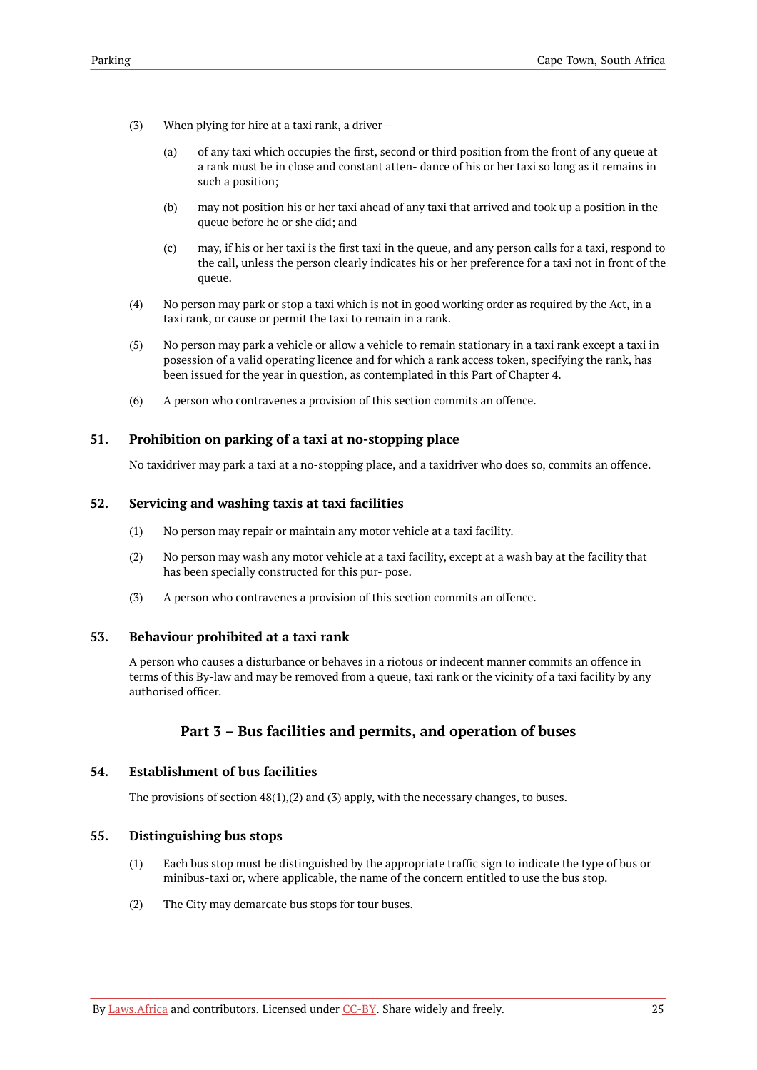- (3) When plying for hire at a taxi rank, a driver—
	- (a) of any taxi which occupies the first, second or third position from the front of any queue at a rank must be in close and constant atten- dance of his or her taxi so long as it remains in such a position;
	- (b) may not position his or her taxi ahead of any taxi that arrived and took up a position in the queue before he or she did; and
	- (c) may, if his or her taxi is the first taxi in the queue, and any person calls for a taxi, respond to the call, unless the person clearly indicates his or her preference for a taxi not in front of the queue.
- (4) No person may park or stop a taxi which is not in good working order as required by the Act, in a taxi rank, or cause or permit the taxi to remain in a rank.
- (5) No person may park a vehicle or allow a vehicle to remain stationary in a taxi rank except a taxi in posession of a valid operating licence and for which a rank access token, specifying the rank, has been issued for the year in question, as contemplated in this Part of Chapter 4.
- (6) A person who contravenes a provision of this section commits an offence.

# <span id="page-28-0"></span>**51. Prohibition on parking of a taxi at no-stopping place**

No taxidriver may park a taxi at a no-stopping place, and a taxidriver who does so, commits an offence.

### <span id="page-28-1"></span>**52. Servicing and washing taxis at taxi facilities**

- (1) No person may repair or maintain any motor vehicle at a taxi facility.
- (2) No person may wash any motor vehicle at a taxi facility, except at a wash bay at the facility that has been specially constructed for this pur- pose.
- (3) A person who contravenes a provision of this section commits an offence.

### <span id="page-28-2"></span>**53. Behaviour prohibited at a taxi rank**

A person who causes a disturbance or behaves in a riotous or indecent manner commits an offence in terms of this By-law and may be removed from a queue, taxi rank or the vicinity of a taxi facility by any authorised officer.

# **Part 3 – Bus facilities and permits, and operation of buses**

### <span id="page-28-4"></span><span id="page-28-3"></span>**54. Establishment of bus facilities**

The provisions of section  $48(1),(2)$  and  $(3)$  apply, with the necessary changes, to buses.

### <span id="page-28-5"></span>**55. Distinguishing bus stops**

- (1) Each bus stop must be distinguished by the appropriate traffic sign to indicate the type of bus or minibus-taxi or, where applicable, the name of the concern entitled to use the bus stop.
- (2) The City may demarcate bus stops for tour buses.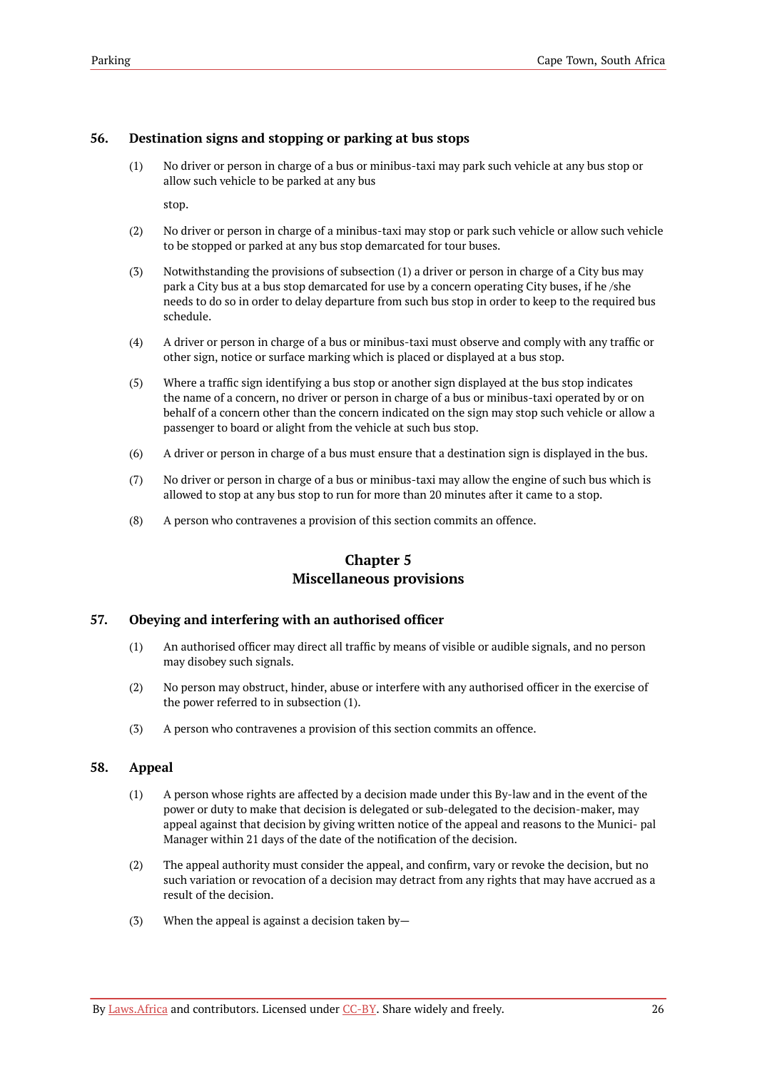# <span id="page-29-0"></span>**56. Destination signs and stopping or parking at bus stops**

(1) No driver or person in charge of a bus or minibus-taxi may park such vehicle at any bus stop or allow such vehicle to be parked at any bus

stop.

- (2) No driver or person in charge of a minibus-taxi may stop or park such vehicle or allow such vehicle to be stopped or parked at any bus stop demarcated for tour buses.
- (3) Notwithstanding the provisions of subsection (1) a driver or person in charge of a City bus may park a City bus at a bus stop demarcated for use by a concern operating City buses, if he /she needs to do so in order to delay departure from such bus stop in order to keep to the required bus schedule.
- (4) A driver or person in charge of a bus or minibus-taxi must observe and comply with any traffic or other sign, notice or surface marking which is placed or displayed at a bus stop.
- (5) Where a traffic sign identifying a bus stop or another sign displayed at the bus stop indicates the name of a concern, no driver or person in charge of a bus or minibus-taxi operated by or on behalf of a concern other than the concern indicated on the sign may stop such vehicle or allow a passenger to board or alight from the vehicle at such bus stop.
- (6) A driver or person in charge of a bus must ensure that a destination sign is displayed in the bus.
- (7) No driver or person in charge of a bus or minibus-taxi may allow the engine of such bus which is allowed to stop at any bus stop to run for more than 20 minutes after it came to a stop.
- <span id="page-29-1"></span>(8) A person who contravenes a provision of this section commits an offence.

# **Chapter 5 Miscellaneous provisions**

# <span id="page-29-2"></span>**57. Obeying and interfering with an authorised officer**

- (1) An authorised officer may direct all traffic by means of visible or audible signals, and no person may disobey such signals.
- (2) No person may obstruct, hinder, abuse or interfere with any authorised officer in the exercise of the power referred to in subsection (1).
- (3) A person who contravenes a provision of this section commits an offence.

# <span id="page-29-3"></span>**58. Appeal**

- (1) A person whose rights are affected by a decision made under this By-law and in the event of the power or duty to make that decision is delegated or sub-delegated to the decision-maker, may appeal against that decision by giving written notice of the appeal and reasons to the Munici- pal Manager within 21 days of the date of the notification of the decision.
- (2) The appeal authority must consider the appeal, and confirm, vary or revoke the decision, but no such variation or revocation of a decision may detract from any rights that may have accrued as a result of the decision.
- (3) When the appeal is against a decision taken by—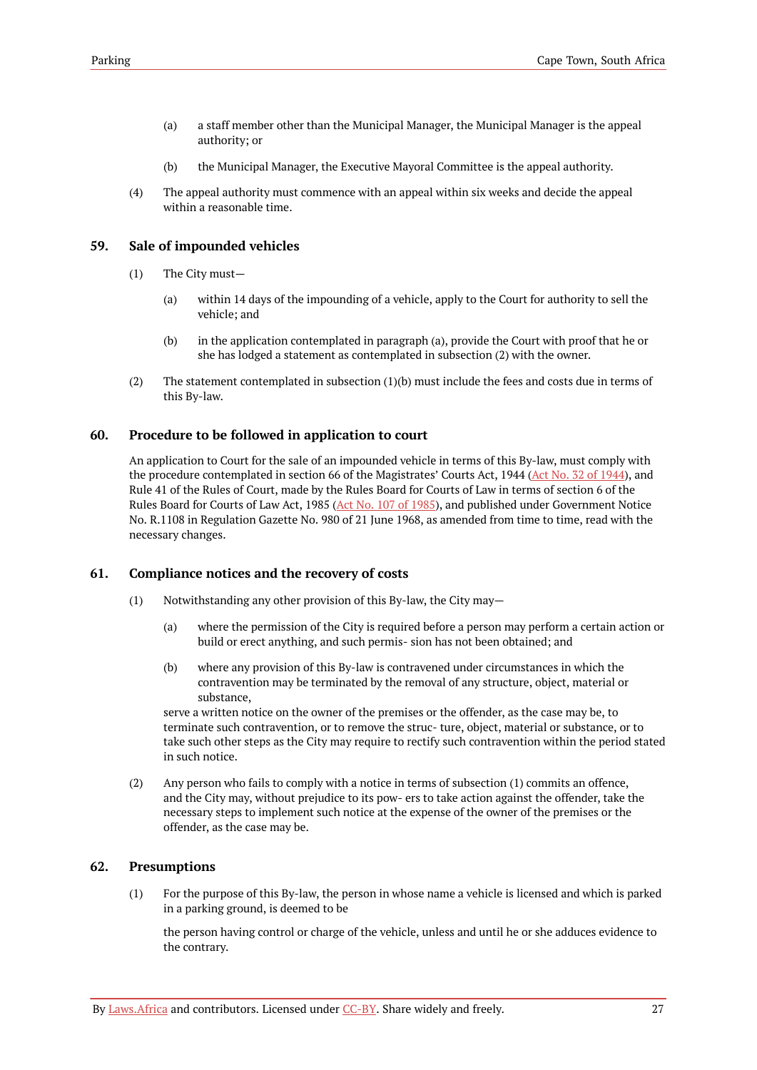- (a) a staff member other than the Municipal Manager, the Municipal Manager is the appeal authority; or
- (b) the Municipal Manager, the Executive Mayoral Committee is the appeal authority.
- (4) The appeal authority must commence with an appeal within six weeks and decide the appeal within a reasonable time.

### <span id="page-30-0"></span>**59. Sale of impounded vehicles**

- (1) The City must—
	- (a) within 14 days of the impounding of a vehicle, apply to the Court for authority to sell the vehicle; and
	- (b) in the application contemplated in paragraph (a), provide the Court with proof that he or she has lodged a statement as contemplated in subsection (2) with the owner.
- (2) The statement contemplated in subsection (1)(b) must include the fees and costs due in terms of this By-law.

### <span id="page-30-1"></span>**60. Procedure to be followed in application to court**

An application to Court for the sale of an impounded vehicle in terms of this By-law, must comply with the procedure contemplated in section 66 of the Magistrates' Courts Act, [1944](https://resolver.laws.africa/resolve/akn/za/act/1944/32) (Act No. 32 of 1944), and Rule 41 of the Rules of Court, made by the Rules Board for Courts of Law in terms of section 6 of the Rules Board for Courts of Law Act, 1985 (Act No. 107 of [1985\)](https://resolver.laws.africa/resolve/akn/za/act/1985/107), and published under Government Notice No. R.1108 in Regulation Gazette No. 980 of 21 June 1968, as amended from time to time, read with the necessary changes.

### <span id="page-30-2"></span>**61. Compliance notices and the recovery of costs**

- (1) Notwithstanding any other provision of this By-law, the City may—
	- (a) where the permission of the City is required before a person may perform a certain action or build or erect anything, and such permis- sion has not been obtained; and
	- (b) where any provision of this By-law is contravened under circumstances in which the contravention may be terminated by the removal of any structure, object, material or substance,

serve a written notice on the owner of the premises or the offender, as the case may be, to terminate such contravention, or to remove the struc- ture, object, material or substance, or to take such other steps as the City may require to rectify such contravention within the period stated in such notice.

(2) Any person who fails to comply with a notice in terms of subsection (1) commits an offence, and the City may, without prejudice to its pow- ers to take action against the offender, take the necessary steps to implement such notice at the expense of the owner of the premises or the offender, as the case may be.

# <span id="page-30-3"></span>**62. Presumptions**

(1) For the purpose of this By-law, the person in whose name a vehicle is licensed and which is parked in a parking ground, is deemed to be

the person having control or charge of the vehicle, unless and until he or she adduces evidence to the contrary.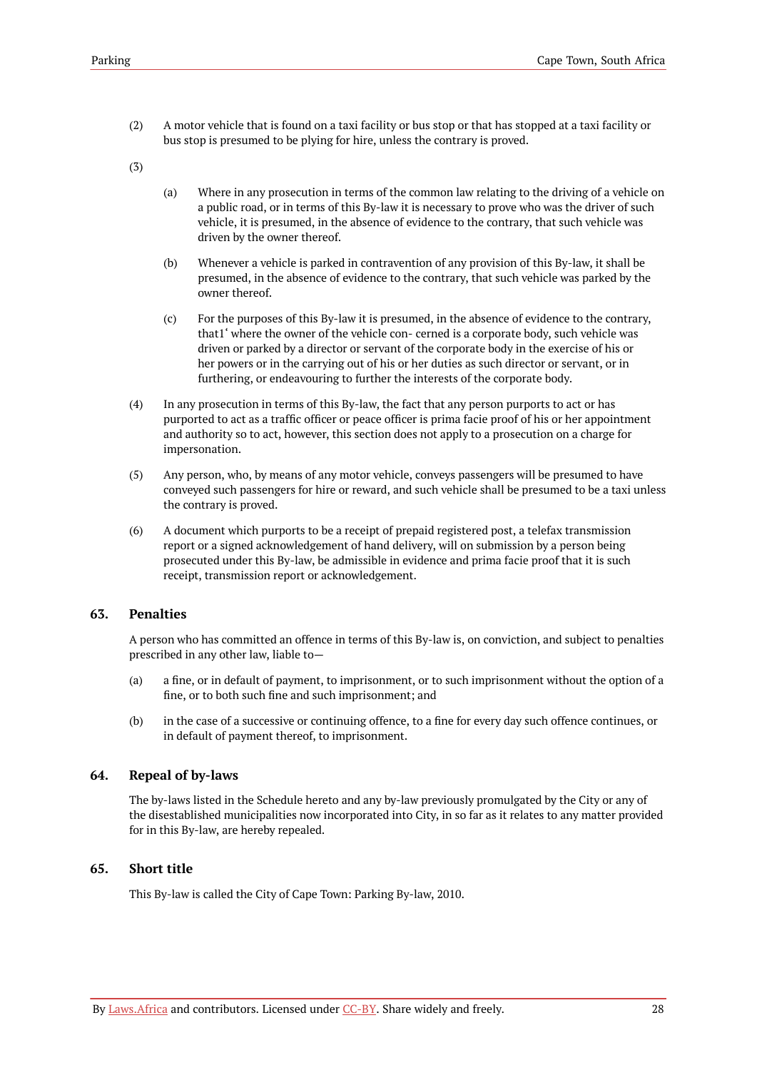(2) A motor vehicle that is found on a taxi facility or bus stop or that has stopped at a taxi facility or bus stop is presumed to be plying for hire, unless the contrary is proved.

(3)

- (a) Where in any prosecution in terms of the common law relating to the driving of a vehicle on a public road, or in terms of this By-law it is necessary to prove who was the driver of such vehicle, it is presumed, in the absence of evidence to the contrary, that such vehicle was driven by the owner thereof.
- (b) Whenever a vehicle is parked in contravention of any provision of this By-law, it shall be presumed, in the absence of evidence to the contrary, that such vehicle was parked by the owner thereof.
- (c) For the purposes of this By-law it is presumed, in the absence of evidence to the contrary, that1' where the owner of the vehicle con- cerned is a corporate body, such vehicle was driven or parked by a director or servant of the corporate body in the exercise of his or her powers or in the carrying out of his or her duties as such director or servant, or in furthering, or endeavouring to further the interests of the corporate body.
- (4) In any prosecution in terms of this By-law, the fact that any person purports to act or has purported to act as a traffic officer or peace officer is prima facie proof of his or her appointment and authority so to act, however, this section does not apply to a prosecution on a charge for impersonation.
- (5) Any person, who, by means of any motor vehicle, conveys passengers will be presumed to have conveyed such passengers for hire or reward, and such vehicle shall be presumed to be a taxi unless the contrary is proved.
- (6) A document which purports to be a receipt of prepaid registered post, a telefax transmission report or a signed acknowledgement of hand delivery, will on submission by a person being prosecuted under this By-law, be admissible in evidence and prima facie proof that it is such receipt, transmission report or acknowledgement.

# <span id="page-31-0"></span>**63. Penalties**

A person who has committed an offence in terms of this By-law is, on conviction, and subject to penalties prescribed in any other law, liable to—

- (a) a fine, or in default of payment, to imprisonment, or to such imprisonment without the option of a fine, or to both such fine and such imprisonment; and
- (b) in the case of a successive or continuing offence, to a fine for every day such offence continues, or in default of payment thereof, to imprisonment.

### <span id="page-31-1"></span>**64. Repeal of by-laws**

The by-laws listed in the Schedule hereto and any by-law previously promulgated by the City or any of the disestablished municipalities now incorporated into City, in so far as it relates to any matter provided for in this By-law, are hereby repealed.

# <span id="page-31-2"></span>**65. Short title**

This By-law is called the City of Cape Town: Parking By-law, 2010.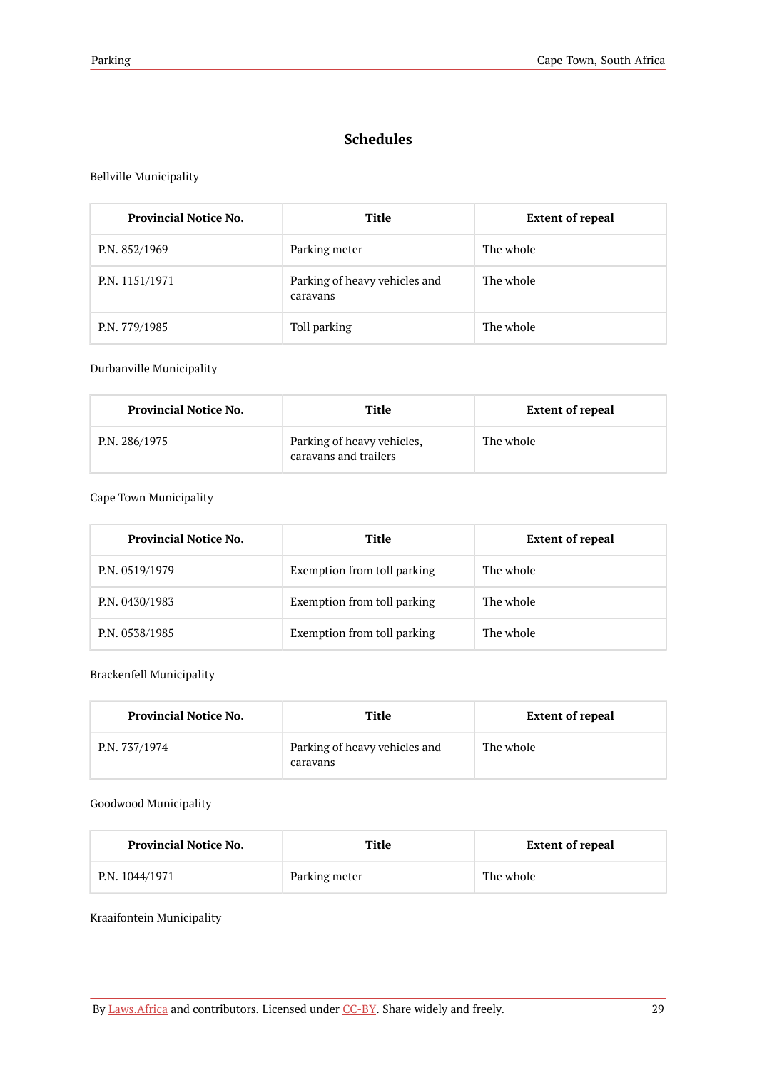# **Schedules**

# <span id="page-32-0"></span>Bellville Municipality

| <b>Provincial Notice No.</b> | Title                                     | <b>Extent of repeal</b> |
|------------------------------|-------------------------------------------|-------------------------|
| P.N. 852/1969                | Parking meter                             | The whole               |
| P.N. 1151/1971               | Parking of heavy vehicles and<br>caravans | The whole               |
| P.N. 779/1985                | Toll parking                              | The whole               |

### Durbanville Municipality

| <b>Provincial Notice No.</b> | Title                                               | <b>Extent of repeal</b> |
|------------------------------|-----------------------------------------------------|-------------------------|
| P.N. 286/1975                | Parking of heavy vehicles,<br>caravans and trailers | The whole               |

# Cape Town Municipality

| <b>Provincial Notice No.</b> | Title                       | <b>Extent of repeal</b> |
|------------------------------|-----------------------------|-------------------------|
| P.N. 0519/1979               | Exemption from toll parking | The whole               |
| P.N. 0430/1983               | Exemption from toll parking | The whole               |
| P.N. 0538/1985               | Exemption from toll parking | The whole               |

# Brackenfell Municipality

| <b>Provincial Notice No.</b> | Title                                     | <b>Extent of repeal</b> |
|------------------------------|-------------------------------------------|-------------------------|
| P.N. 737/1974                | Parking of heavy vehicles and<br>caravans | The whole               |

### Goodwood Municipality

| <b>Provincial Notice No.</b> | Title         | <b>Extent of repeal</b> |
|------------------------------|---------------|-------------------------|
| P.N. 1044/1971               | Parking meter | The whole               |

Kraaifontein Municipality